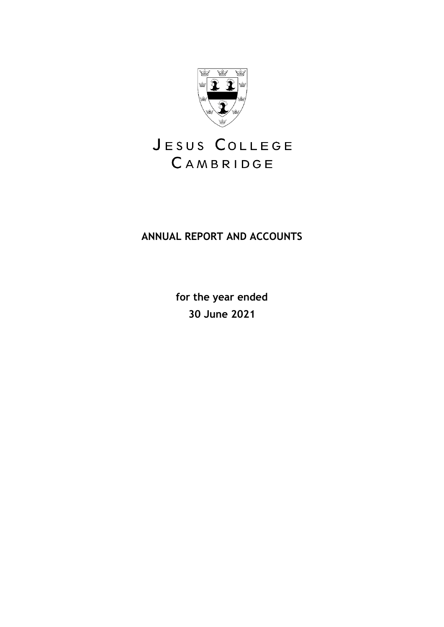

# JESUS COLLEGE CAMBRIDGE

## **ANNUAL REPORT AND ACCOUNTS**

**for the year ended 30 June 2021**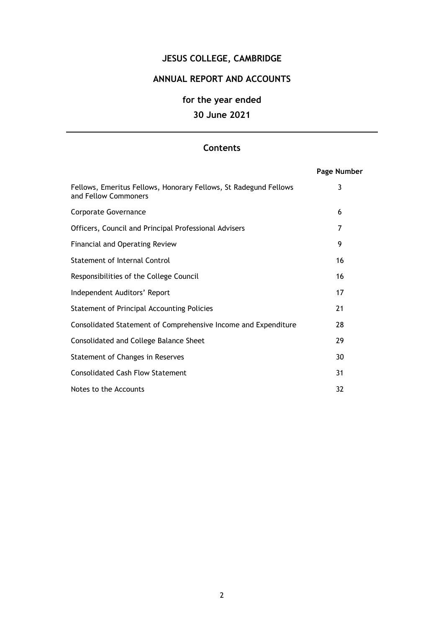## **JESUS COLLEGE, CAMBRIDGE**

## **ANNUAL REPORT AND ACCOUNTS**

## **for the year ended**

## **30 June 2021**

## **Contents**

|                                                                                          | Page Number |
|------------------------------------------------------------------------------------------|-------------|
| Fellows, Emeritus Fellows, Honorary Fellows, St Radegund Fellows<br>and Fellow Commoners | 3           |
| Corporate Governance                                                                     | 6           |
| Officers, Council and Principal Professional Advisers                                    | 7           |
| <b>Financial and Operating Review</b>                                                    | 9           |
| Statement of Internal Control                                                            | 16          |
| Responsibilities of the College Council                                                  | 16          |
| Independent Auditors' Report                                                             | 17          |
| Statement of Principal Accounting Policies                                               | 21          |
| Consolidated Statement of Comprehensive Income and Expenditure                           | 28          |
| Consolidated and College Balance Sheet                                                   | 29          |
| Statement of Changes in Reserves                                                         | 30          |
| <b>Consolidated Cash Flow Statement</b>                                                  | 31          |
| Notes to the Accounts                                                                    | 32          |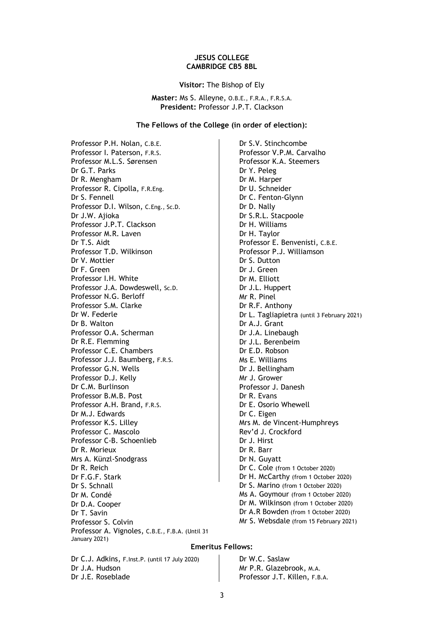#### **JESUS COLLEGE CAMBRIDGE CB5 8BL**

**Visitor:** The Bishop of Ely

**Master:** Ms S. Alleyne, O.B.E., F.R.A., F.R.S.A. **President:** Professor J.P.T. Clackson

#### **The Fellows of the College (in order of election):**

Professor P.H. Nolan, C.B.E. Professor I. Paterson, F.R.S. Professor M.L.S. Sørensen Dr G.T. Parks Dr R. Mengham Professor R. Cipolla, F.R.Eng. Dr S. Fennell Professor D.I. Wilson, C.Eng., Sc.D. Dr J.W. Ajioka Professor J.P.T. Clackson Professor M.R. Laven Dr T.S. Aidt Professor T.D. Wilkinson Dr V. Mottier Dr F. Green Professor I.H. White Professor J.A. Dowdeswell, Sc.D. Professor N.G. Berloff Professor S.M. Clarke Dr W. Federle Dr B. Walton Professor O.A. Scherman Dr R.E. Flemming Professor C.E. Chambers Professor J.J. Baumberg, F.R.S. Professor G.N. Wells Professor D.J. Kelly Dr C.M. Burlinson Professor B.M.B. Post Professor A.H. Brand, F.R.S. Dr M.J. Edwards Professor K.S. Lilley Professor C. Mascolo Professor C-B. Schoenlieb Dr R. Morieux Mrs A. Künzl-Snodgrass Dr R. Reich Dr F.G.F. Stark Dr S. Schnall Dr M. Condé Dr D.A. Cooper Dr T. Savin Professor S. Colvin Professor A. Vignoles, C.B.E., F.B.A. (Until 31 January 2021)

Dr S.V. Stinchcombe Professor V.P.M. Carvalho Professor K.A. Steemers Dr Y. Peleg Dr M. Harper Dr U. Schneider Dr C. Fenton-Glynn Dr D. Nally Dr S.R.L. Stacpoole Dr H. Williams Dr H. Taylor Professor E. Benvenisti, C.B.E. Professor P.J. Williamson Dr S. Dutton Dr J. Green Dr M. Elliott Dr J.L. Huppert Mr R. Pinel Dr R.F. Anthony Dr L. Tagliapietra (until 3 February 2021) Dr A.J. Grant Dr J.A. Linebaugh Dr J.L. Berenbeim Dr E.D. Robson Ms E. Williams Dr J. Bellingham Mr J. Grower Professor J. Danesh Dr R. Evans Dr E. Osorio Whewell Dr C. Eigen Mrs M. de Vincent-Humphreys Rev'd J. Crockford Dr J. Hirst Dr R. Barr Dr N. Guyatt Dr C. Cole (from 1 October 2020) Dr H. McCarthy (from 1 October 2020) Dr S. Marino (from 1 October 2020) Ms A. Goymour (from 1 October 2020) Dr M. Wilkinson (from 1 October 2020) Dr A.R Bowden (from 1 October 2020) Mr S. Websdale (from 15 February 2021)

#### **Emeritus Fellows:**

Dr C.J. Adkins, F.Inst.P. (until 17 July 2020) Dr J.A. Hudson Dr J.E. Roseblade

Dr W.C. Saslaw Mr P.R. Glazebrook, M.A. Professor J.T. Killen, F.B.A.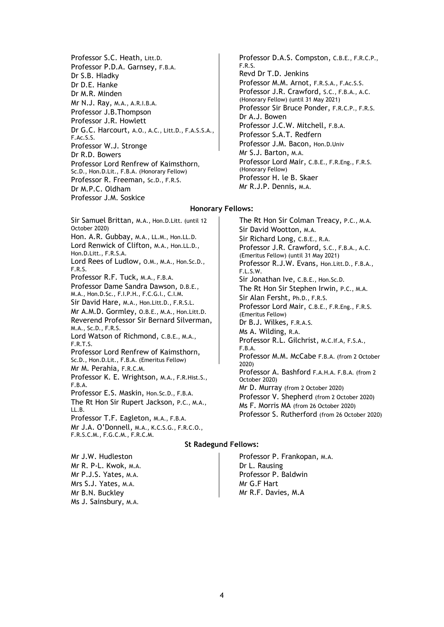Professor S.C. Heath, Litt.D. Professor P.D.A. Garnsey, F.B.A. Dr S.B. Hladky Dr D.E. Hanke Dr M.R. Minden Mr N.J. Ray, M.A., A.R.I.B.A. Professor J.B.Thompson Professor J.R. Howlett Dr G.C. Harcourt, A.O., A.C., Litt.D., F.A.S.S.A., F.Ac.S.S. Professor W.J. Stronge Dr R.D. Bowers Professor Lord Renfrew of Kaimsthorn, Sc.D., Hon.D.Lit., F.B.A. (Honorary Fellow) Professor R. Freeman, Sc.D., F.R.S. Dr M.P.C. Oldham Professor J.M. Soskice

Professor D.A.S. Compston, C.B.E., F.R.C.P., F.R.S. Revd Dr T.D. Jenkins Professor M.M. Arnot, F.R.S.A., F.Ac.S.S. Professor J.R. Crawford, S.C., F.B.A., A.C. (Honorary Fellow) (until 31 May 2021) Professor Sir Bruce Ponder, F.R.C.P., F.R.S. Dr A.J. Bowen Professor J.C.W. Mitchell, F.B.A. Professor S.A.T. Redfern Professor J.M. Bacon, Hon.D.Univ Mr S.J. Barton, M.A. Professor Lord Mair, C.B.E., F.R.Eng., F.R.S. (Honorary Fellow) Professor H. le B. Skaer Mr R.J.P. Dennis, M.A.

#### **Honorary Fellows:**

Sir Samuel Brittan, M.A., Hon.D.Litt. (until 12 October 2020) Hon. A.R. Gubbay, M.A., LL.M., Hon.LL.D. Lord Renwick of Clifton, M.A., Hon.LL.D., Hon.D.Litt., F.R.S.A. Lord Rees of Ludlow, O.M., M.A., Hon.Sc.D., F.R.S. Professor R.F. Tuck, M.A., F.B.A. Professor Dame Sandra Dawson, D.B.E., M.A., Hon.D.Sc., F.I.P.H., F.C.G.I., C.I.M. Sir David Hare, M.A., Hon.Litt.D., F.R.S.L. Mr A.M.D. Gormley, O.B.E., M.A., Hon.Litt.D. Reverend Professor Sir Bernard Silverman, M.A., Sc.D., F.R.S. Lord Watson of Richmond, C.B.E., M.A., F.R.T.S. Professor Lord Renfrew of Kaimsthorn, Sc.D., Hon.D.Lit., F.B.A. (Emeritus Fellow) Mr M. Perahia, F.R.C.M. Professor K. E. Wrightson, M.A., F.R.Hist.S., F.B.A. Professor E.S. Maskin, Hon.Sc.D., F.B.A. The Rt Hon Sir Rupert Jackson, P.C., M.A., LL.B. Professor T.F. Eagleton, M.A., F.B.A. Mr J.A. O'Donnell, M.A., K.C.S.G., F.R.C.O., F.R.S.C.M., F.G.C.M., F.R.C.M.

The Rt Hon Sir Colman Treacy, P.C., M.A. Sir David Wootton, M.A. Sir Richard Long, C.B.E., R.A. Professor J.R. Crawford, S.C., F.B.A., A.C. (Emeritus Fellow) (until 31 May 2021) Professor R.J.W. Evans, Hon.Litt.D., F.B.A., F.L.S.W. Sir Jonathan Ive, C.B.E., Hon.Sc.D. The Rt Hon Sir Stephen Irwin, P.C., M.A. Sir Alan Fersht, Ph.D., F.R.S. Professor Lord Mair, C.B.E., F.R.Eng., F.R.S. (Emeritus Fellow) Dr B.J. Wilkes, F.R.A.S. Ms A. Wilding, R.A. Professor R.L. Gilchrist, M.C.If.A, F.S.A., F.B.A. Professor M.M. McCabe F.B.A. (from 2 October 2020) Professor A. Bashford [F.A.H.A.](https://en.wikipedia.org/wiki/Fellow_of_the_Australian_Academy_of_the_Humanities) [F.B.A.](https://en.wikipedia.org/wiki/Fellow_of_the_British_Academy) (from 2 October 2020) Mr D. Murray (from 2 October 2020) Professor V. Shepherd (from 2 October 2020) Ms F. Morris MA (from 26 October 2020) Professor S. Rutherford (from 26 October 2020)

#### **St Radegund Fellows:**

Mr J.W. Hudleston Mr R. P-L. Kwok, M.A. Mr P.J.S. Yates, M.A. Mrs S.J. Yates, M.A. Mr B.N. Buckley Ms J. Sainsbury, M.A.

Professor P. Frankopan, M.A. Dr L. Rausing Professor P. Baldwin Mr G.F Hart Mr R.F. Davies, M.A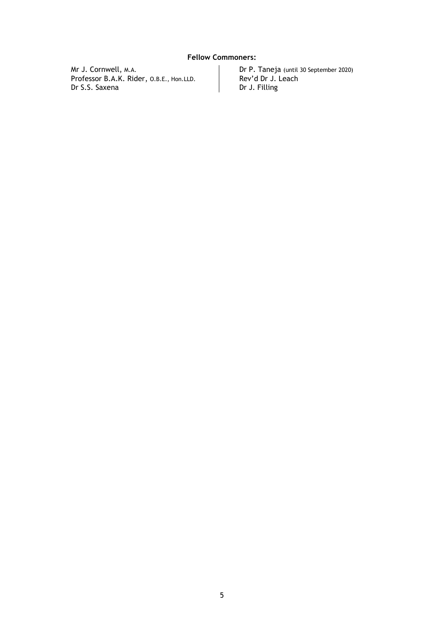## **Fellow Commoners:**

Mr J. Cornwell, M.A. Professor B.A.K. Rider, O.B.E., Hon.LLD. Dr S.S. Saxena

Dr P. Taneja (until 30 September 2020) Rev'd Dr J. Leach Dr J. Filling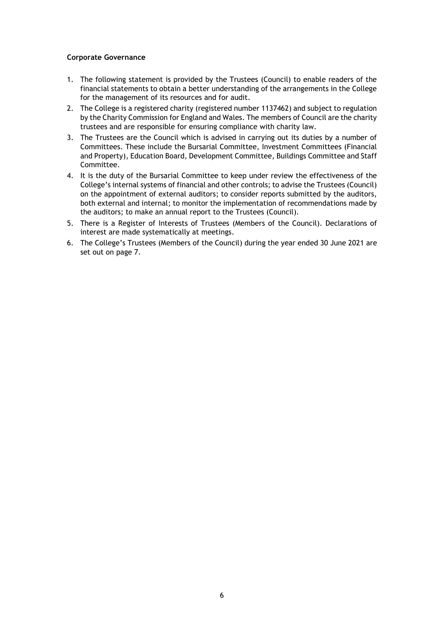## **Corporate Governance**

- 1. The following statement is provided by the Trustees (Council) to enable readers of the financial statements to obtain a better understanding of the arrangements in the College for the management of its resources and for audit.
- 2. The College is a registered charity (registered number 1137462) and subject to regulation by the Charity Commission for England and Wales. The members of Council are the charity trustees and are responsible for ensuring compliance with charity law.
- 3. The Trustees are the Council which is advised in carrying out its duties by a number of Committees. These include the Bursarial Committee, Investment Committees (Financial and Property), Education Board, Development Committee, Buildings Committee and Staff Committee.
- 4. It is the duty of the Bursarial Committee to keep under review the effectiveness of the College's internal systems of financial and other controls; to advise the Trustees (Council) on the appointment of external auditors; to consider reports submitted by the auditors, both external and internal; to monitor the implementation of recommendations made by the auditors; to make an annual report to the Trustees (Council).
- 5. There is a Register of Interests of Trustees (Members of the Council). Declarations of interest are made systematically at meetings.
- 6. The College's Trustees (Members of the Council) during the year ended 30 June 2021 are set out on page 7.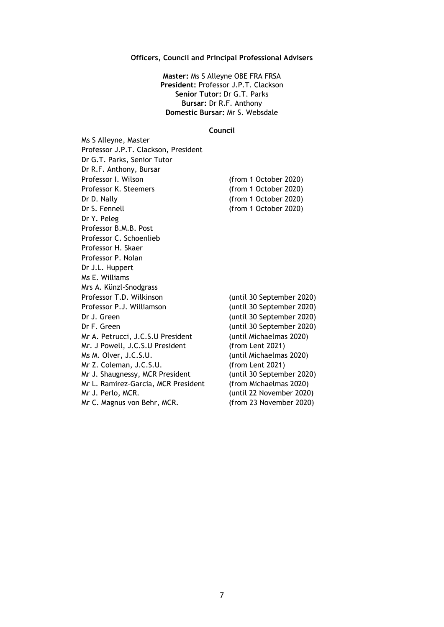#### **Officers, Council and Principal Professional Advisers**

**Master:** Ms S Alleyne OBE FRA FRSA **President:** Professor J.P.T. Clackson **Senior Tutor:** Dr G.T. Parks **Bursar:** Dr R.F. Anthony **Domestic Bursar:** Mr S. Websdale

#### **Council**

Ms S Alleyne, Master Professor J.P.T. Clackson, President Dr G.T. Parks, Senior Tutor Dr R.F. Anthony, Bursar Professor I. Wilson (from 1 October 2020)<br>Professor K. Steemers (from 1 October 2020) (from 1 October 2020) Dr D. Nally (from 1 October 2020) Dr S. Fennell (from 1 October 2020) Dr Y. Peleg Professor B.M.B. Post Professor C. Schoenlieb Professor H. Skaer Professor P. Nolan Dr J.L. Huppert Ms E. Williams Mrs A. Künzl-Snodgrass Professor T.D. Wilkinson (until 30 September 2020) Professor P.J. Williamson (until 30 September 2020) Dr J. Green (until 30 September 2020) Dr F. Green (until 30 September 2020) Mr A. Petrucci, J.C.S.U President Mr. J Powell, J.C.S.U President Ms M. Olver, J.C.S.U. Mr Z. Coleman, J.C.S.U. Mr J. Shaugnessy, MCR President Mr L. Ramirez-Garcia, MCR President Mr J. Perlo, MCR. Mr C. Magnus von Behr, MCR. (until Michaelmas 2020) (from Lent 2021) (until Michaelmas 2020) (from Lent 2021) (until 30 September 2020) (from Michaelmas 2020) (until 22 November 2020) (from 23 November 2020)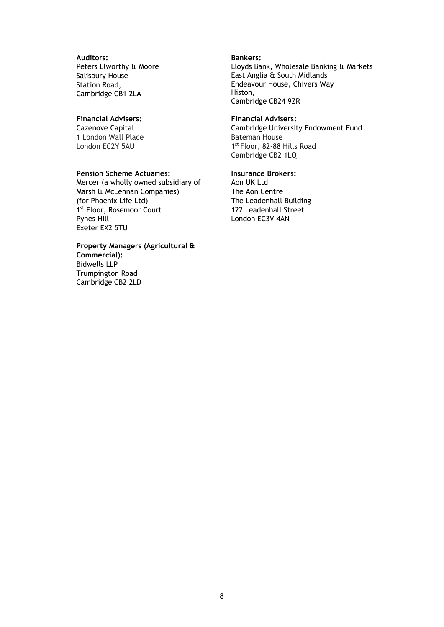#### **Auditors:** Peters Elworthy & Moore Salisbury House Station Road, Cambridge CB1 2LA

## **Financial Advisers:**

Cazenove Capital 1 London Wall Place London EC2Y 5AU

#### **Pension Scheme Actuaries:**

Mercer (a wholly owned subsidiary of Marsh & McLennan Companies) (for Phoenix Life Ltd) 1st Floor, Rosemoor Court Pynes Hill Exeter EX2 5TU

## **Property Managers (Agricultural & Commercial):** Bidwells LLP

Trumpington Road Cambridge CB2 2LD

#### **Bankers:** Lloyds Bank, Wholesale Banking & Markets East Anglia & South Midlands Endeavour House, Chivers Way Histon, Cambridge CB24 9ZR

#### **Financial Advisers:** Cambridge University Endowment Fund Bateman House 1st Floor, 82-88 Hills Road Cambridge CB2 1LQ

## **Insurance Brokers:**

Aon UK Ltd The Aon Centre The Leadenhall Building 122 Leadenhall Street London EC3V 4AN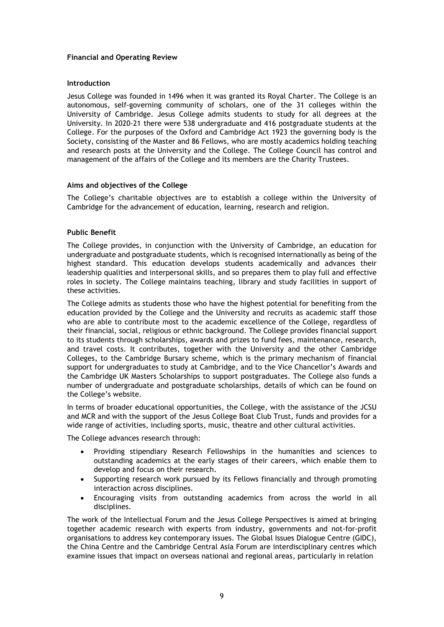## **Financial and Operating Review**

#### **Introduction**

Jesus College was founded in 1496 when it was granted its Royal Charter. The College is an autonomous, self-governing community of scholars, one of the 31 colleges within the University of Cambridge. Jesus College admits students to study for all degrees at the University. In 2020-21 there were 538 undergraduate and 416 postgraduate students at the College. For the purposes of the Oxford and Cambridge Act 1923 the governing body is the Society, consisting of the Master and 86 Fellows, who are mostly academics holding teaching and research posts at the University and the College. The College Council has control and management of the affairs of the College and its members are the Charity Trustees.

#### **Aims and objectives of the College**

The College's charitable objectives are to establish a college within the University of Cambridge for the advancement of education, learning, research and religion.

#### **Public Benefit**

The College provides, in conjunction with the University of Cambridge, an education for undergraduate and postgraduate students, which is recognised internationally as being of the highest standard. This education develops students academically and advances their leadership qualities and interpersonal skills, and so prepares them to play full and effective roles in society. The College maintains teaching, library and study facilities in support of these activities.

The College admits as students those who have the highest potential for benefiting from the education provided by the College and the University and recruits as academic staff those who are able to contribute most to the academic excellence of the College, regardless of their financial, social, religious or ethnic background. The College provides financial support to its students through scholarships, awards and prizes to fund fees, maintenance, research, and travel costs. It contributes, together with the University and the other Cambridge Colleges, to the Cambridge Bursary scheme, which is the primary mechanism of financial support for undergraduates to study at Cambridge, and to the Vice Chancellor's Awards and the Cambridge UK Masters Scholarships to support postgraduates. The College also funds a number of undergraduate and postgraduate scholarships, details of which can be found on the College's website.

In terms of broader educational opportunities, the College, with the assistance of the JCSU and MCR and with the support of the Jesus College Boat Club Trust, funds and provides for a wide range of activities, including sports, music, theatre and other cultural activities.

The College advances research through:

- Providing stipendiary Research Fellowships in the humanities and sciences to outstanding academics at the early stages of their careers, which enable them to develop and focus on their research.
- Supporting research work pursued by its Fellows financially and through promoting interaction across disciplines.
- Encouraging visits from outstanding academics from across the world in all disciplines.

The work of the Intellectual Forum and the Jesus College Perspectives is aimed at bringing together academic research with experts from industry, governments and not-for-profit organisations to address key contemporary issues. The Global Issues Dialogue Centre (GIDC), the China Centre and the Cambridge Central Asia Forum are interdisciplinary centres which examine issues that impact on overseas national and regional areas, particularly in relation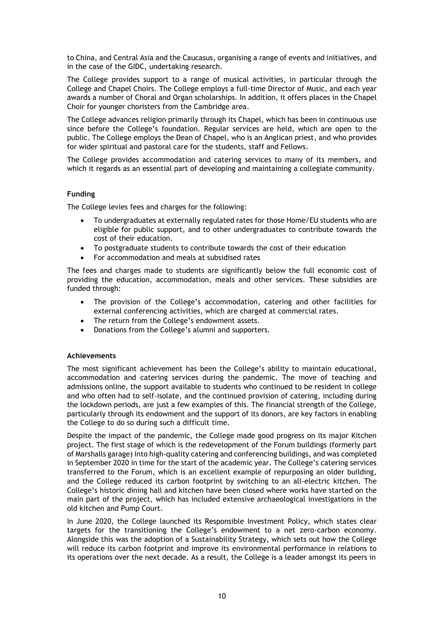to China, and Central Asia and the Caucasus, organising a range of events and initiatives, and in the case of the GIDC, undertaking research.

The College provides support to a range of musical activities, in particular through the College and Chapel Choirs. The College employs a full-time Director of Music, and each year awards a number of Choral and Organ scholarships. In addition, it offers places in the Chapel Choir for younger choristers from the Cambridge area.

The College advances religion primarily through its Chapel, which has been in continuous use since before the College's foundation. Regular services are held, which are open to the public. The College employs the Dean of Chapel, who is an Anglican priest, and who provides for wider spiritual and pastoral care for the students, staff and Fellows.

The College provides accommodation and catering services to many of its members, and which it regards as an essential part of developing and maintaining a collegiate community.

## **Funding**

The College levies fees and charges for the following:

- To undergraduates at externally regulated rates for those Home/EU students who are eligible for public support, and to other undergraduates to contribute towards the cost of their education.
- To postgraduate students to contribute towards the cost of their education
- For accommodation and meals at subsidised rates

The fees and charges made to students are significantly below the full economic cost of providing the education, accommodation, meals and other services. These subsidies are funded through:

- The provision of the College's accommodation, catering and other facilities for external conferencing activities, which are charged at commercial rates.
- The return from the College's endowment assets.
- Donations from the College's alumni and supporters.

## **Achievements**

The most significant achievement has been the College's ability to maintain educational, accommodation and catering services during the pandemic. The move of teaching and admissions online, the support available to students who continued to be resident in college and who often had to self-isolate, and the continued provision of catering, including during the lockdown periods, are just a few examples of this. The financial strength of the College, particularly through its endowment and the support of its donors, are key factors in enabling the College to do so during such a difficult time.

Despite the impact of the pandemic, the College made good progress on its major Kitchen project. The first stage of which is the redevelopment of the Forum buildings (formerly part of Marshalls garage) into high-quality catering and conferencing buildings, and was completed in September 2020 in time for the start of the academic year. The College's catering services transferred to the Forum, which is an excellent example of repurposing an older building, and the College reduced its carbon footprint by switching to an all-electric kitchen. The College's historic dining hall and kitchen have been closed where works have started on the main part of the project, which has included extensive archaeological investigations in the old kitchen and Pump Court.

In June 2020, the College launched its Responsible Investment Policy, which states clear targets for the transitioning the College's endowment to a net zero-carbon economy. Alongside this was the adoption of a Sustainability Strategy, which sets out how the College will reduce its carbon footprint and improve its environmental performance in relations to its operations over the next decade. As a result, the College is a leader amongst its peers in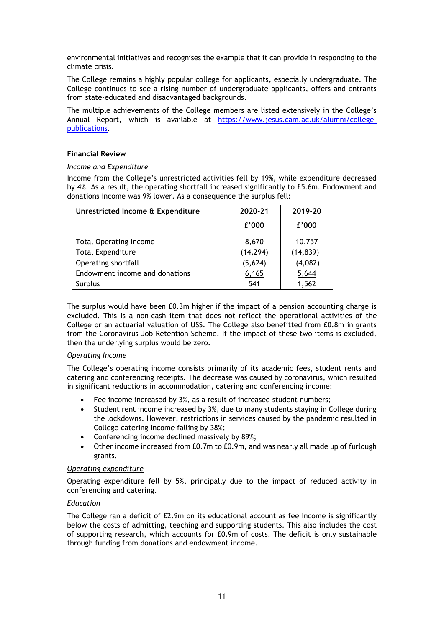environmental initiatives and recognises the example that it can provide in responding to the climate crisis.

The College remains a highly popular college for applicants, especially undergraduate. The College continues to see a rising number of undergraduate applicants, offers and entrants from state-educated and disadvantaged backgrounds.

The multiple achievements of the College members are listed extensively in the College's Annual Report, which is available at [https://www.jesus.cam.ac.uk/alumni/college](https://www.jesus.cam.ac.uk/alumni/college-publications)[publications.](https://www.jesus.cam.ac.uk/alumni/college-publications)

## **Financial Review**

#### *Income and Expenditure*

Income from the College's unrestricted activities fell by 19%, while expenditure decreased by 4%. As a result, the operating shortfall increased significantly to £5.6m. Endowment and donations income was 9% lower. As a consequence the surplus fell:

| Unrestricted Income & Expenditure | 2020-21   | 2019-20   |  |
|-----------------------------------|-----------|-----------|--|
|                                   | £'000     | £'000     |  |
| <b>Total Operating Income</b>     | 8,670     | 10,757    |  |
| <b>Total Expenditure</b>          | (14, 294) | (14, 839) |  |
| Operating shortfall               | (5,624)   | (4,082)   |  |
| Endowment income and donations    | 6,165     | 5,644     |  |
| Surplus                           | 541       | 1,562     |  |

The surplus would have been £0.3m higher if the impact of a pension accounting charge is excluded. This is a non-cash item that does not reflect the operational activities of the College or an actuarial valuation of USS. The College also benefitted from £0.8m in grants from the Coronavirus Job Retention Scheme. If the impact of these two items is excluded, then the underlying surplus would be zero.

#### *Operating Income*

The College's operating income consists primarily of its academic fees, student rents and catering and conferencing receipts. The decrease was caused by coronavirus, which resulted in significant reductions in accommodation, catering and conferencing income:

- Fee income increased by 3%, as a result of increased student numbers;
- Student rent income increased by 3%, due to many students staying in College during the lockdowns. However, restrictions in services caused by the pandemic resulted in College catering income falling by 38%;
- Conferencing income declined massively by 89%;
- Other income increased from £0.7m to £0.9m, and was nearly all made up of furlough grants.

#### *Operating expenditure*

Operating expenditure fell by 5%, principally due to the impact of reduced activity in conferencing and catering.

#### *Education*

The College ran a deficit of £2.9m on its educational account as fee income is significantly below the costs of admitting, teaching and supporting students. This also includes the cost of supporting research, which accounts for £0.9m of costs. The deficit is only sustainable through funding from donations and endowment income.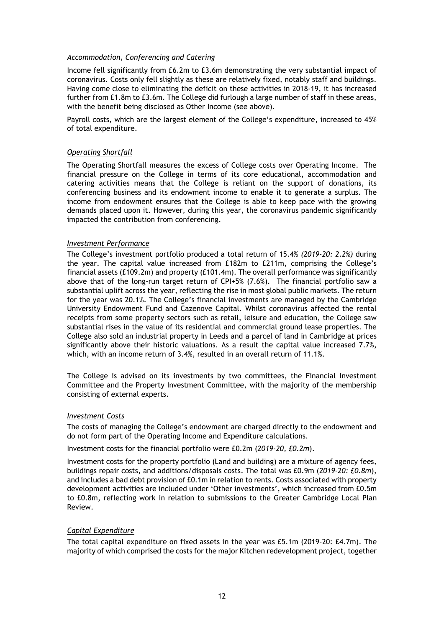#### *Accommodation, Conferencing and Catering*

Income fell significantly from £6.2m to £3.6m demonstrating the very substantial impact of coronavirus. Costs only fell slightly as these are relatively fixed, notably staff and buildings. Having come close to eliminating the deficit on these activities in 2018-19, it has increased further from £1.8m to £3.6m. The College did furlough a large number of staff in these areas, with the benefit being disclosed as Other Income (see above).

Payroll costs, which are the largest element of the College's expenditure, increased to 45% of total expenditure.

#### *Operating Shortfall*

The Operating Shortfall measures the excess of College costs over Operating Income. The financial pressure on the College in terms of its core educational, accommodation and catering activities means that the College is reliant on the support of donations, its conferencing business and its endowment income to enable it to generate a surplus. The income from endowment ensures that the College is able to keep pace with the growing demands placed upon it. However, during this year, the coronavirus pandemic significantly impacted the contribution from conferencing.

#### *Investment Performance*

The College's investment portfolio produced a total return of 15.4% *(2019-20: 2.2%)* during the year. The capital value increased from £182m to £211m, comprising the College's financial assets (£109.2m) and property (£101.4m). The overall performance was significantly above that of the long-run target return of CPI+5% (7.6%). The financial portfolio saw a substantial uplift across the year, reflecting the rise in most global public markets. The return for the year was 20.1%. The College's financial investments are managed by the Cambridge University Endowment Fund and Cazenove Capital. Whilst coronavirus affected the rental receipts from some property sectors such as retail, leisure and education, the College saw substantial rises in the value of its residential and commercial ground lease properties. The College also sold an industrial property in Leeds and a parcel of land in Cambridge at prices significantly above their historic valuations. As a result the capital value increased 7.7%, which, with an income return of 3.4%, resulted in an overall return of 11.1%.

The College is advised on its investments by two committees, the Financial Investment Committee and the Property Investment Committee, with the majority of the membership consisting of external experts.

#### *Investment Costs*

The costs of managing the College's endowment are charged directly to the endowment and do not form part of the Operating Income and Expenditure calculations.

Investment costs for the financial portfolio were £0.2m (*2019-20, £0.2m*).

Investment costs for the property portfolio (Land and building) are a mixture of agency fees, buildings repair costs, and additions/disposals costs. The total was £0.9m (*2019-20: £0.8m*), and includes a bad debt provision of £0.1m in relation to rents. Costs associated with property development activities are included under 'Other investments', which increased from £0.5m to £0.8m, reflecting work in relation to submissions to the Greater Cambridge Local Plan Review.

## *Capital Expenditure*

The total capital expenditure on fixed assets in the year was £5.1m (2019-20: £4.7m). The majority of which comprised the costs for the major Kitchen redevelopment project, together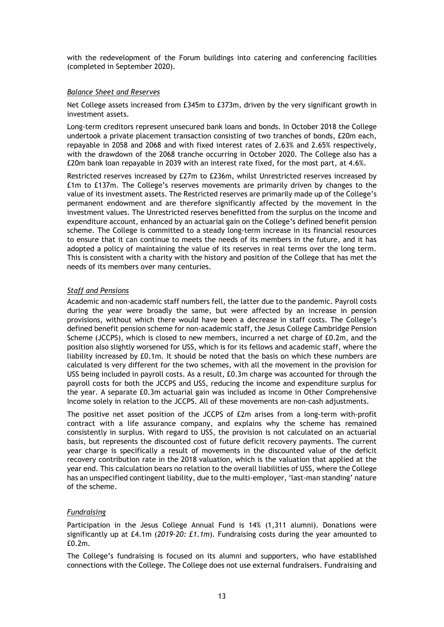with the redevelopment of the Forum buildings into catering and conferencing facilities (completed in September 2020).

#### *Balance Sheet and Reserves*

Net College assets increased from £345m to £373m, driven by the very significant growth in investment assets.

Long-term creditors represent unsecured bank loans and bonds. In October 2018 the College undertook a private placement transaction consisting of two tranches of bonds, £20m each, repayable in 2058 and 2068 and with fixed interest rates of 2.63% and 2.65% respectively, with the drawdown of the 2068 tranche occurring in October 2020. The College also has a £20m bank loan repayable in 2039 with an interest rate fixed, for the most part, at 4.6%.

Restricted reserves increased by £27m to £236m, whilst Unrestricted reserves increased by £1m to £137m. The College's reserves movements are primarily driven by changes to the value of its investment assets. The Restricted reserves are primarily made up of the College's permanent endowment and are therefore significantly affected by the movement in the investment values. The Unrestricted reserves benefitted from the surplus on the income and expenditure account, enhanced by an actuarial gain on the College's defined benefit pension scheme. The College is committed to a steady long-term increase in its financial resources to ensure that it can continue to meets the needs of its members in the future, and it has adopted a policy of maintaining the value of its reserves in real terms over the long term. This is consistent with a charity with the history and position of the College that has met the needs of its members over many centuries.

## *Staff and Pensions*

Academic and non-academic staff numbers fell, the latter due to the pandemic. Payroll costs during the year were broadly the same, but were affected by an increase in pension provisions, without which there would have been a decrease in staff costs. The College's defined benefit pension scheme for non-academic staff, the Jesus College Cambridge Pension Scheme (JCCPS), which is closed to new members, incurred a net charge of £0.2m, and the position also slightly worsened for USS, which is for its fellows and academic staff, where the liability increased by £0.1m. It should be noted that the basis on which these numbers are calculated is very different for the two schemes, with all the movement in the provision for USS being included in payroll costs. As a result, £0.3m charge was accounted for through the payroll costs for both the JCCPS and USS, reducing the income and expenditure surplus for the year. A separate £0.3m actuarial gain was included as income in Other Comprehensive Income solely in relation to the JCCPS. All of these movements are non-cash adjustments.

The positive net asset position of the JCCPS of £2m arises from a long-term with-profit contract with a life assurance company, and explains why the scheme has remained consistently in surplus. With regard to USS, the provision is not calculated on an actuarial basis, but represents the discounted cost of future deficit recovery payments. The current year charge is specifically a result of movements in the discounted value of the deficit recovery contribution rate in the 2018 valuation, which is the valuation that applied at the year end. This calculation bears no relation to the overall liabilities of USS, where the College has an unspecified contingent liability, due to the multi-employer, 'last-man standing' nature of the scheme.

## *Fundraising*

Participation in the Jesus College Annual Fund is 14% (1,311 alumni). Donations were significantly up at £4.1m (*2019-20: £1.1m*). Fundraising costs during the year amounted to £0.2m.

The College's fundraising is focused on its alumni and supporters, who have established connections with the College. The College does not use external fundraisers. Fundraising and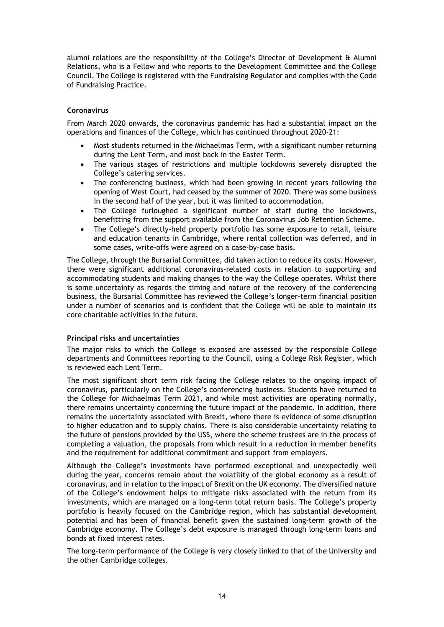alumni relations are the responsibility of the College's Director of Development & Alumni Relations, who is a Fellow and who reports to the Development Committee and the College Council. The College is registered with the Fundraising Regulator and complies with the Code of Fundraising Practice.

## **Coronavirus**

From March 2020 onwards, the coronavirus pandemic has had a substantial impact on the operations and finances of the College, which has continued throughout 2020-21:

- Most students returned in the Michaelmas Term, with a significant number returning during the Lent Term, and most back in the Easter Term.
- The various stages of restrictions and multiple lockdowns severely disrupted the College's catering services.
- The conferencing business, which had been growing in recent years following the opening of West Court, had ceased by the summer of 2020. There was some business in the second half of the year, but it was limited to accommodation.
- The College furloughed a significant number of staff during the lockdowns, benefitting from the support available from the Coronavirus Job Retention Scheme.
- The College's directly-held property portfolio has some exposure to retail, leisure and education tenants in Cambridge, where rental collection was deferred, and in some cases, write-offs were agreed on a case-by-case basis.

The College, through the Bursarial Committee, did taken action to reduce its costs. However, there were significant additional coronavirus-related costs in relation to supporting and accommodating students and making changes to the way the College operates. Whilst there is some uncertainty as regards the timing and nature of the recovery of the conferencing business, the Bursarial Committee has reviewed the College's longer-term financial position under a number of scenarios and is confident that the College will be able to maintain its core charitable activities in the future.

## **Principal risks and uncertainties**

The major risks to which the College is exposed are assessed by the responsible College departments and Committees reporting to the Council, using a College Risk Register, which is reviewed each Lent Term.

The most significant short term risk facing the College relates to the ongoing impact of coronavirus, particularly on the College's conferencing business. Students have returned to the College for Michaelmas Term 2021, and while most activities are operating normally, there remains uncertainty concerning the future impact of the pandemic. In addition, there remains the uncertainty associated with Brexit, where there is evidence of some disruption to higher education and to supply chains. There is also considerable uncertainty relating to the future of pensions provided by the USS, where the scheme trustees are in the process of completing a valuation, the proposals from which result in a reduction in member benefits and the requirement for additional commitment and support from employers.

Although the College's investments have performed exceptional and unexpectedly well during the year, concerns remain about the volatility of the global economy as a result of coronavirus, and in relation to the impact of Brexit on the UK economy. The diversified nature of the College's endowment helps to mitigate risks associated with the return from its investments, which are managed on a long-term total return basis. The College's property portfolio is heavily focused on the Cambridge region, which has substantial development potential and has been of financial benefit given the sustained long-term growth of the Cambridge economy. The College's debt exposure is managed through long-term loans and bonds at fixed interest rates.

The long-term performance of the College is very closely linked to that of the University and the other Cambridge colleges.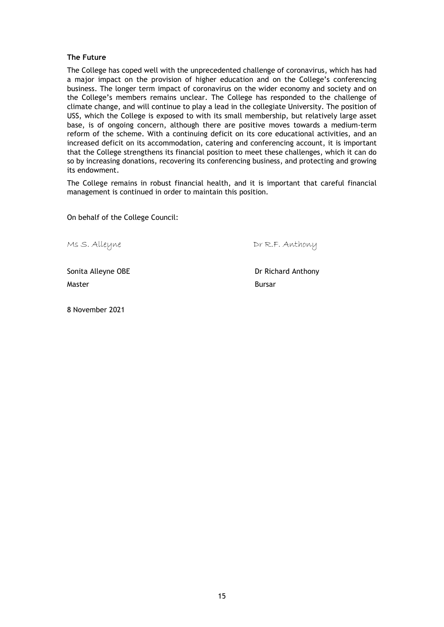#### **The Future**

The College has coped well with the unprecedented challenge of coronavirus, which has had a major impact on the provision of higher education and on the College's conferencing business. The longer term impact of coronavirus on the wider economy and society and on the College's members remains unclear. The College has responded to the challenge of climate change, and will continue to play a lead in the collegiate University. The position of USS, which the College is exposed to with its small membership, but relatively large asset base, is of ongoing concern, although there are positive moves towards a medium-term reform of the scheme. With a continuing deficit on its core educational activities, and an increased deficit on its accommodation, catering and conferencing account, it is important that the College strengthens its financial position to meet these challenges, which it can do so by increasing donations, recovering its conferencing business, and protecting and growing its endowment.

The College remains in robust financial health, and it is important that careful financial management is continued in order to maintain this position.

On behalf of the College Council:

Ms S. Alleyne Communications of R.F. Anthony

Sonita Alleyne OBE **Dr Richard Anthony** Master **Bursar** Bursar **Bursar** 

8 November 2021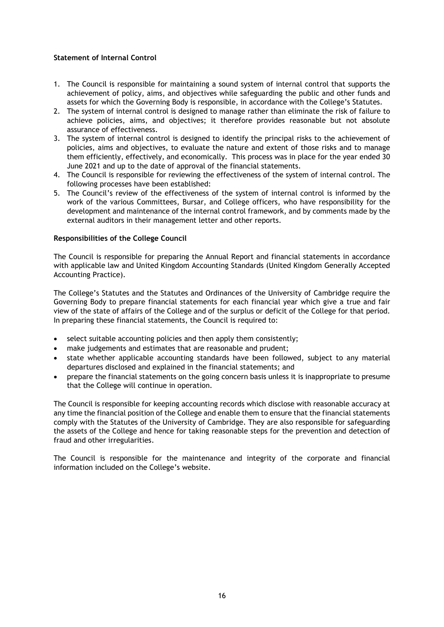## **Statement of Internal Control**

- 1. The Council is responsible for maintaining a sound system of internal control that supports the achievement of policy, aims, and objectives while safeguarding the public and other funds and assets for which the Governing Body is responsible, in accordance with the College's Statutes.
- 2. The system of internal control is designed to manage rather than eliminate the risk of failure to achieve policies, aims, and objectives; it therefore provides reasonable but not absolute assurance of effectiveness.
- 3. The system of internal control is designed to identify the principal risks to the achievement of policies, aims and objectives, to evaluate the nature and extent of those risks and to manage them efficiently, effectively, and economically. This process was in place for the year ended 30 June 2021 and up to the date of approval of the financial statements.
- 4. The Council is responsible for reviewing the effectiveness of the system of internal control. The following processes have been established:
- 5. The Council's review of the effectiveness of the system of internal control is informed by the work of the various Committees, Bursar, and College officers, who have responsibility for the development and maintenance of the internal control framework, and by comments made by the external auditors in their management letter and other reports.

## **Responsibilities of the College Council**

The Council is responsible for preparing the Annual Report and financial statements in accordance with applicable law and United Kingdom Accounting Standards (United Kingdom Generally Accepted Accounting Practice).

The College's Statutes and the Statutes and Ordinances of the University of Cambridge require the Governing Body to prepare financial statements for each financial year which give a true and fair view of the state of affairs of the College and of the surplus or deficit of the College for that period. In preparing these financial statements, the Council is required to:

- select suitable accounting policies and then apply them consistently;
- make judgements and estimates that are reasonable and prudent;
- state whether applicable accounting standards have been followed, subject to any material departures disclosed and explained in the financial statements; and
- prepare the financial statements on the going concern basis unless it is inappropriate to presume that the College will continue in operation.

The Council is responsible for keeping accounting records which disclose with reasonable accuracy at any time the financial position of the College and enable them to ensure that the financial statements comply with the Statutes of the University of Cambridge. They are also responsible for safeguarding the assets of the College and hence for taking reasonable steps for the prevention and detection of fraud and other irregularities.

The Council is responsible for the maintenance and integrity of the corporate and financial information included on the College's website.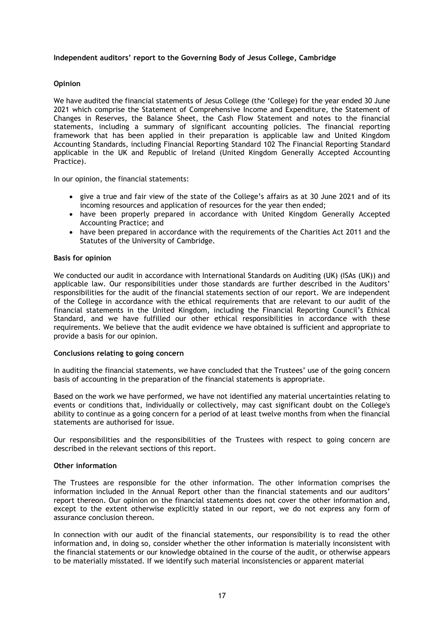#### **Independent auditors' report to the Governing Body of Jesus College, Cambridge**

#### **Opinion**

We have audited the financial statements of Jesus College (the 'College) for the year ended 30 June 2021 which comprise the Statement of Comprehensive Income and Expenditure, the Statement of Changes in Reserves, the Balance Sheet, the Cash Flow Statement and notes to the financial statements, including a summary of significant accounting policies. The financial reporting framework that has been applied in their preparation is applicable law and United Kingdom Accounting Standards, including Financial Reporting Standard 102 The Financial Reporting Standard applicable in the UK and Republic of Ireland (United Kingdom Generally Accepted Accounting Practice).

In our opinion, the financial statements:

- give a true and fair view of the state of the College's affairs as at 30 June 2021 and of its incoming resources and application of resources for the year then ended;
- have been properly prepared in accordance with United Kingdom Generally Accepted Accounting Practice; and
- have been prepared in accordance with the requirements of the Charities Act 2011 and the Statutes of the University of Cambridge.

#### **Basis for opinion**

We conducted our audit in accordance with International Standards on Auditing (UK) (ISAs (UK)) and applicable law. Our responsibilities under those standards are further described in the Auditors' responsibilities for the audit of the financial statements section of our report. We are independent of the College in accordance with the ethical requirements that are relevant to our audit of the financial statements in the United Kingdom, including the Financial Reporting Council's Ethical Standard, and we have fulfilled our other ethical responsibilities in accordance with these requirements. We believe that the audit evidence we have obtained is sufficient and appropriate to provide a basis for our opinion.

#### **Conclusions relating to going concern**

In auditing the financial statements, we have concluded that the Trustees' use of the going concern basis of accounting in the preparation of the financial statements is appropriate.

Based on the work we have performed, we have not identified any material uncertainties relating to events or conditions that, individually or collectively, may cast significant doubt on the College's ability to continue as a going concern for a period of at least twelve months from when the financial statements are authorised for issue.

Our responsibilities and the responsibilities of the Trustees with respect to going concern are described in the relevant sections of this report.

#### **Other information**

The Trustees are responsible for the other information. The other information comprises the information included in the Annual Report other than the financial statements and our auditors' report thereon. Our opinion on the financial statements does not cover the other information and, except to the extent otherwise explicitly stated in our report, we do not express any form of assurance conclusion thereon.

In connection with our audit of the financial statements, our responsibility is to read the other information and, in doing so, consider whether the other information is materially inconsistent with the financial statements or our knowledge obtained in the course of the audit, or otherwise appears to be materially misstated. If we identify such material inconsistencies or apparent material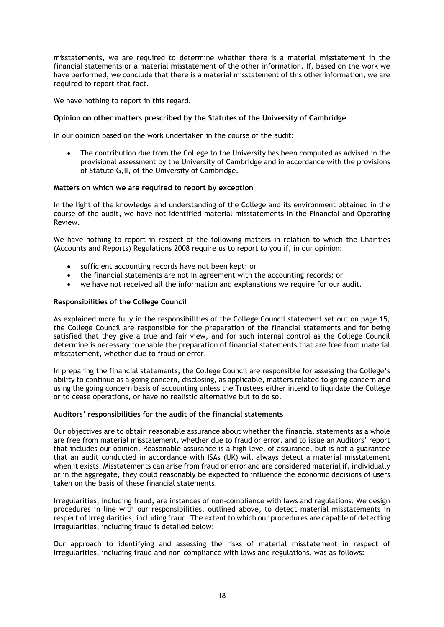misstatements, we are required to determine whether there is a material misstatement in the financial statements or a material misstatement of the other information. If, based on the work we have performed, we conclude that there is a material misstatement of this other information, we are required to report that fact.

We have nothing to report in this regard.

#### **Opinion on other matters prescribed by the Statutes of the University of Cambridge**

In our opinion based on the work undertaken in the course of the audit:

• The contribution due from the College to the University has been computed as advised in the provisional assessment by the University of Cambridge and in accordance with the provisions of Statute G,II, of the University of Cambridge.

#### **Matters on which we are required to report by exception**

In the light of the knowledge and understanding of the College and its environment obtained in the course of the audit, we have not identified material misstatements in the Financial and Operating Review.

We have nothing to report in respect of the following matters in relation to which the Charities (Accounts and Reports) Regulations 2008 require us to report to you if, in our opinion:

- sufficient accounting records have not been kept; or
- the financial statements are not in agreement with the accounting records; or
- we have not received all the information and explanations we require for our audit.

#### **Responsibilities of the College Council**

As explained more fully in the responsibilities of the College Council statement set out on page 15, the College Council are responsible for the preparation of the financial statements and for being satisfied that they give a true and fair view, and for such internal control as the College Council determine is necessary to enable the preparation of financial statements that are free from material misstatement, whether due to fraud or error.

In preparing the financial statements, the College Council are responsible for assessing the College's ability to continue as a going concern, disclosing, as applicable, matters related to going concern and using the going concern basis of accounting unless the Trustees either intend to liquidate the College or to cease operations, or have no realistic alternative but to do so.

#### **Auditors' responsibilities for the audit of the financial statements**

Our objectives are to obtain reasonable assurance about whether the financial statements as a whole are free from material misstatement, whether due to fraud or error, and to issue an Auditors' report that includes our opinion. Reasonable assurance is a high level of assurance, but is not a guarantee that an audit conducted in accordance with ISAs (UK) will always detect a material misstatement when it exists. Misstatements can arise from fraud or error and are considered material if, individually or in the aggregate, they could reasonably be expected to influence the economic decisions of users taken on the basis of these financial statements.

Irregularities, including fraud, are instances of non-compliance with laws and regulations. We design procedures in line with our responsibilities, outlined above, to detect material misstatements in respect of irregularities, including fraud. The extent to which our procedures are capable of detecting irregularities, including fraud is detailed below:

Our approach to identifying and assessing the risks of material misstatement in respect of irregularities, including fraud and non-compliance with laws and regulations, was as follows: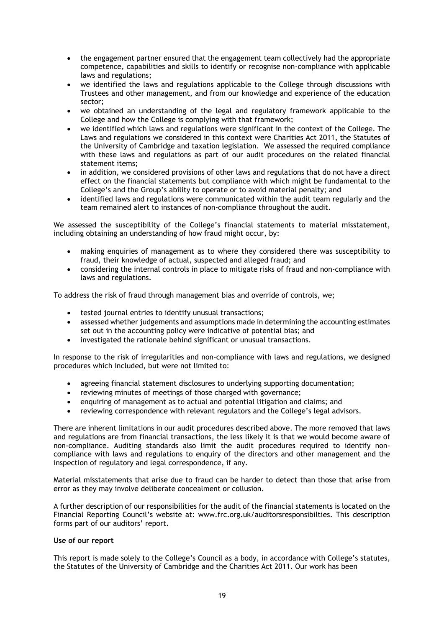- the engagement partner ensured that the engagement team collectively had the appropriate competence, capabilities and skills to identify or recognise non-compliance with applicable laws and regulations;
- we identified the laws and regulations applicable to the College through discussions with Trustees and other management, and from our knowledge and experience of the education sector;
- we obtained an understanding of the legal and regulatory framework applicable to the College and how the College is complying with that framework;
- we identified which laws and regulations were significant in the context of the College. The Laws and regulations we considered in this context were Charities Act 2011, the Statutes of the University of Cambridge and taxation legislation. We assessed the required compliance with these laws and regulations as part of our audit procedures on the related financial statement items;
- in addition, we considered provisions of other laws and regulations that do not have a direct effect on the financial statements but compliance with which might be fundamental to the College's and the Group's ability to operate or to avoid material penalty; and
- identified laws and regulations were communicated within the audit team regularly and the team remained alert to instances of non-compliance throughout the audit.

We assessed the susceptibility of the College's financial statements to material misstatement, including obtaining an understanding of how fraud might occur, by:

- making enquiries of management as to where they considered there was susceptibility to fraud, their knowledge of actual, suspected and alleged fraud; and
- considering the internal controls in place to mitigate risks of fraud and non-compliance with laws and regulations.

To address the risk of fraud through management bias and override of controls, we;

- tested journal entries to identify unusual transactions;
- assessed whether judgements and assumptions made in determining the accounting estimates set out in the accounting policy were indicative of potential bias; and
- investigated the rationale behind significant or unusual transactions.

In response to the risk of irregularities and non-compliance with laws and regulations, we designed procedures which included, but were not limited to:

- agreeing financial statement disclosures to underlying supporting documentation;
- reviewing minutes of meetings of those charged with governance;
- enquiring of management as to actual and potential litigation and claims; and
- reviewing correspondence with relevant regulators and the College's legal advisors.

There are inherent limitations in our audit procedures described above. The more removed that laws and regulations are from financial transactions, the less likely it is that we would become aware of non-compliance. Auditing standards also limit the audit procedures required to identify noncompliance with laws and regulations to enquiry of the directors and other management and the inspection of regulatory and legal correspondence, if any.

Material misstatements that arise due to fraud can be harder to detect than those that arise from error as they may involve deliberate concealment or collusion.

A further description of our responsibilities for the audit of the financial statements is located on the Financial Reporting Council's website at: www.frc.org.uk/auditorsresponsibilties. This description forms part of our auditors' report.

#### **Use of our report**

This report is made solely to the College's Council as a body, in accordance with College's statutes, the Statutes of the University of Cambridge and the Charities Act 2011. Our work has been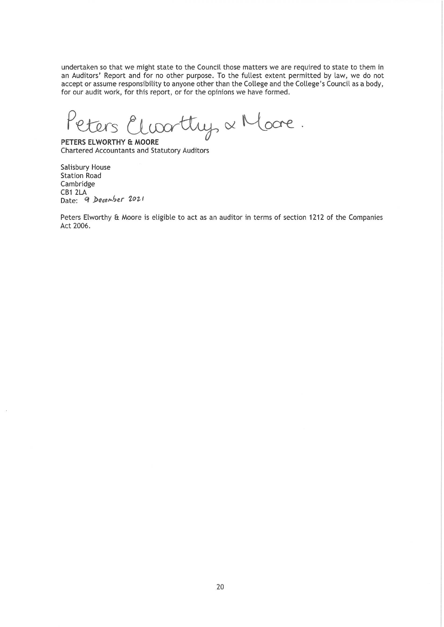undertaken so that we might state to the Council those matters we are required to state to them in an Auditors' Report and for no other purpose. To the fullest extent permitted by law, we do not accept or assume responsibility to anyone other than the College and the College's Council as a body, for our audit work, for this report, or for the opinions we have formed.

Ders Elwarttry, & Moore.

PETERS ELWORTHY & MOORE **Chartered Accountants and Statutory Auditors** 

**Salisbury House Station Road** Cambridge CB1 2LA Date: 9 December 2021

Peters Elworthy & Moore is eligible to act as an auditor in terms of section 1212 of the Companies Act 2006.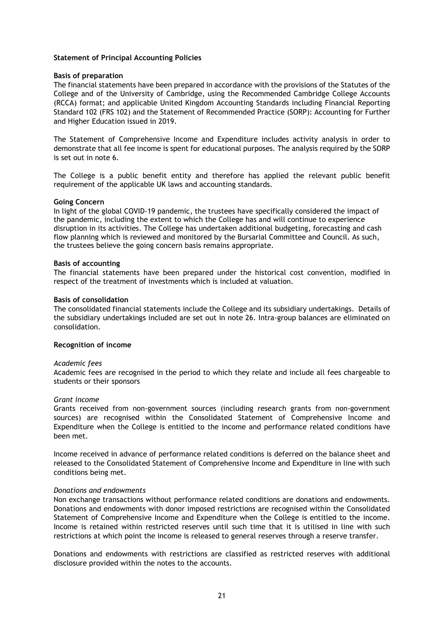#### **Statement of Principal Accounting Policies**

#### **Basis of preparation**

The financial statements have been prepared in accordance with the provisions of the Statutes of the College and of the University of Cambridge, using the Recommended Cambridge College Accounts (RCCA) format; and applicable United Kingdom Accounting Standards including Financial Reporting Standard 102 (FRS 102) and the Statement of Recommended Practice (SORP): Accounting for Further and Higher Education issued in 2019.

The Statement of Comprehensive Income and Expenditure includes activity analysis in order to demonstrate that all fee income is spent for educational purposes. The analysis required by the SORP is set out in note 6.

The College is a public benefit entity and therefore has applied the relevant public benefit requirement of the applicable UK laws and accounting standards.

#### **Going Concern**

In light of the global COVID-19 pandemic, the trustees have specifically considered the impact of the pandemic, including the extent to which the College has and will continue to experience disruption in its activities. The College has undertaken additional budgeting, forecasting and cash flow planning which is reviewed and monitored by the Bursarial Committee and Council. As such, the trustees believe the going concern basis remains appropriate.

#### **Basis of accounting**

The financial statements have been prepared under the historical cost convention, modified in respect of the treatment of investments which is included at valuation.

#### **Basis of consolidation**

The consolidated financial statements include the College and its subsidiary undertakings. Details of the subsidiary undertakings included are set out in note 26. Intra-group balances are eliminated on consolidation.

#### **Recognition of income**

#### *Academic fees*

Academic fees are recognised in the period to which they relate and include all fees chargeable to students or their sponsors

#### *Grant income*

Grants received from non-government sources (including research grants from non-government sources) are recognised within the Consolidated Statement of Comprehensive Income and Expenditure when the College is entitled to the income and performance related conditions have been met.

Income received in advance of performance related conditions is deferred on the balance sheet and released to the Consolidated Statement of Comprehensive Income and Expenditure in line with such conditions being met.

#### *Donations and endowments*

Non exchange transactions without performance related conditions are donations and endowments. Donations and endowments with donor imposed restrictions are recognised within the Consolidated Statement of Comprehensive Income and Expenditure when the College is entitled to the income. Income is retained within restricted reserves until such time that it is utilised in line with such restrictions at which point the income is released to general reserves through a reserve transfer.

Donations and endowments with restrictions are classified as restricted reserves with additional disclosure provided within the notes to the accounts.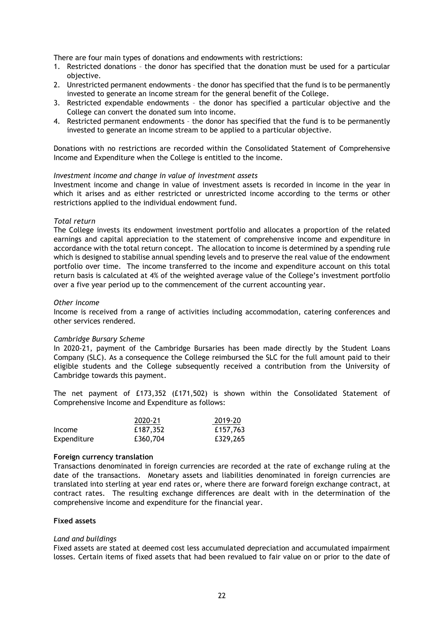There are four main types of donations and endowments with restrictions:

- 1. Restricted donations the donor has specified that the donation must be used for a particular objective.
- 2. Unrestricted permanent endowments the donor has specified that the fund is to be permanently invested to generate an income stream for the general benefit of the College.
- 3. Restricted expendable endowments the donor has specified a particular objective and the College can convert the donated sum into income.
- 4. Restricted permanent endowments the donor has specified that the fund is to be permanently invested to generate an income stream to be applied to a particular objective.

Donations with no restrictions are recorded within the Consolidated Statement of Comprehensive Income and Expenditure when the College is entitled to the income.

#### *Investment income and change in value of investment assets*

Investment income and change in value of investment assets is recorded in income in the year in which it arises and as either restricted or unrestricted income according to the terms or other restrictions applied to the individual endowment fund.

#### *Total return*

The College invests its endowment investment portfolio and allocates a proportion of the related earnings and capital appreciation to the statement of comprehensive income and expenditure in accordance with the total return concept. The allocation to income is determined by a spending rule which is designed to stabilise annual spending levels and to preserve the real value of the endowment portfolio over time. The income transferred to the income and expenditure account on this total return basis is calculated at 4% of the weighted average value of the College's investment portfolio over a five year period up to the commencement of the current accounting year.

#### *Other income*

Income is received from a range of activities including accommodation, catering conferences and other services rendered.

#### *Cambridge Bursary Scheme*

In 2020-21, payment of the Cambridge Bursaries has been made directly by the Student Loans Company (SLC). As a consequence the College reimbursed the SLC for the full amount paid to their eligible students and the College subsequently received a contribution from the University of Cambridge towards this payment.

The net payment of £173,352 (£171,502) is shown within the Consolidated Statement of Comprehensive Income and Expenditure as follows:

|             | 2020-21  | 2019-20  |
|-------------|----------|----------|
| Income      | £187,352 | £157,763 |
| Expenditure | £360,704 | £329,265 |

#### **Foreign currency translation**

Transactions denominated in foreign currencies are recorded at the rate of exchange ruling at the date of the transactions. Monetary assets and liabilities denominated in foreign currencies are translated into sterling at year end rates or, where there are forward foreign exchange contract, at contract rates. The resulting exchange differences are dealt with in the determination of the comprehensive income and expenditure for the financial year.

#### **Fixed assets**

#### *Land and buildings*

Fixed assets are stated at deemed cost less accumulated depreciation and accumulated impairment losses. Certain items of fixed assets that had been revalued to fair value on or prior to the date of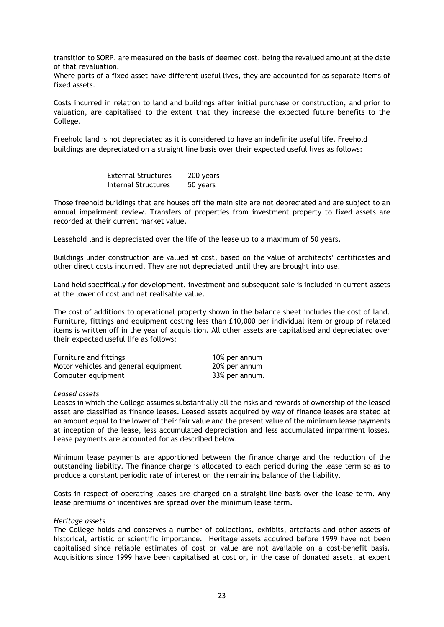transition to SORP, are measured on the basis of deemed cost, being the revalued amount at the date of that revaluation.

Where parts of a fixed asset have different useful lives, they are accounted for as separate items of fixed assets.

Costs incurred in relation to land and buildings after initial purchase or construction, and prior to valuation, are capitalised to the extent that they increase the expected future benefits to the College.

Freehold land is not depreciated as it is considered to have an indefinite useful life. Freehold buildings are depreciated on a straight line basis over their expected useful lives as follows:

> External Structures 200 years Internal Structures 50 years

Those freehold buildings that are houses off the main site are not depreciated and are subject to an annual impairment review. Transfers of properties from investment property to fixed assets are recorded at their current market value.

Leasehold land is depreciated over the life of the lease up to a maximum of 50 years.

Buildings under construction are valued at cost, based on the value of architects' certificates and other direct costs incurred. They are not depreciated until they are brought into use.

Land held specifically for development, investment and subsequent sale is included in current assets at the lower of cost and net realisable value.

The cost of additions to operational property shown in the balance sheet includes the cost of land. Furniture, fittings and equipment costing less than £10,000 per individual item or group of related items is written off in the year of acquisition. All other assets are capitalised and depreciated over their expected useful life as follows:

| Furniture and fittings               | 10% per annum  |
|--------------------------------------|----------------|
| Motor vehicles and general equipment | 20% per annum  |
| Computer equipment                   | 33% per annum. |

#### *Leased assets*

Leases in which the College assumes substantially all the risks and rewards of ownership of the leased asset are classified as finance leases. Leased assets acquired by way of finance leases are stated at an amount equal to the lower of their fair value and the present value of the minimum lease payments at inception of the lease, less accumulated depreciation and less accumulated impairment losses. Lease payments are accounted for as described below.

Minimum lease payments are apportioned between the finance charge and the reduction of the outstanding liability. The finance charge is allocated to each period during the lease term so as to produce a constant periodic rate of interest on the remaining balance of the liability.

Costs in respect of operating leases are charged on a straight-line basis over the lease term. Any lease premiums or incentives are spread over the minimum lease term.

#### *Heritage assets*

The College holds and conserves a number of collections, exhibits, artefacts and other assets of historical, artistic or scientific importance. Heritage assets acquired before 1999 have not been capitalised since reliable estimates of cost or value are not available on a cost-benefit basis. Acquisitions since 1999 have been capitalised at cost or, in the case of donated assets, at expert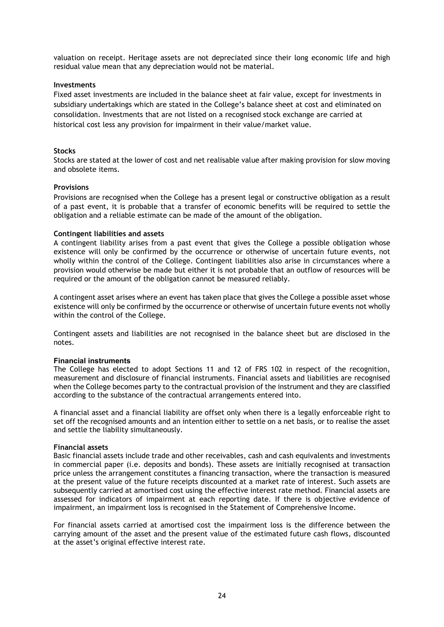valuation on receipt. Heritage assets are not depreciated since their long economic life and high residual value mean that any depreciation would not be material.

#### **Investments**

Fixed asset investments are included in the balance sheet at fair value, except for investments in subsidiary undertakings which are stated in the College's balance sheet at cost and eliminated on consolidation. Investments that are not listed on a recognised stock exchange are carried at historical cost less any provision for impairment in their value/market value.

#### **Stocks**

Stocks are stated at the lower of cost and net realisable value after making provision for slow moving and obsolete items.

#### **Provisions**

Provisions are recognised when the College has a present legal or constructive obligation as a result of a past event, it is probable that a transfer of economic benefits will be required to settle the obligation and a reliable estimate can be made of the amount of the obligation.

#### **Contingent liabilities and assets**

A contingent liability arises from a past event that gives the College a possible obligation whose existence will only be confirmed by the occurrence or otherwise of uncertain future events, not wholly within the control of the College. Contingent liabilities also arise in circumstances where a provision would otherwise be made but either it is not probable that an outflow of resources will be required or the amount of the obligation cannot be measured reliably.

A contingent asset arises where an event has taken place that gives the College a possible asset whose existence will only be confirmed by the occurrence or otherwise of uncertain future events not wholly within the control of the College.

Contingent assets and liabilities are not recognised in the balance sheet but are disclosed in the notes.

#### **Financial instruments**

The College has elected to adopt Sections 11 and 12 of FRS 102 in respect of the recognition, measurement and disclosure of financial instruments. Financial assets and liabilities are recognised when the College becomes party to the contractual provision of the instrument and they are classified according to the substance of the contractual arrangements entered into.

A financial asset and a financial liability are offset only when there is a legally enforceable right to set off the recognised amounts and an intention either to settle on a net basis, or to realise the asset and settle the liability simultaneously.

#### **Financial assets**

Basic financial assets include trade and other receivables, cash and cash equivalents and investments in commercial paper (i.e. deposits and bonds). These assets are initially recognised at transaction price unless the arrangement constitutes a financing transaction, where the transaction is measured at the present value of the future receipts discounted at a market rate of interest. Such assets are subsequently carried at amortised cost using the effective interest rate method. Financial assets are assessed for indicators of impairment at each reporting date. If there is objective evidence of impairment, an impairment loss is recognised in the Statement of Comprehensive Income.

For financial assets carried at amortised cost the impairment loss is the difference between the carrying amount of the asset and the present value of the estimated future cash flows, discounted at the asset's original effective interest rate.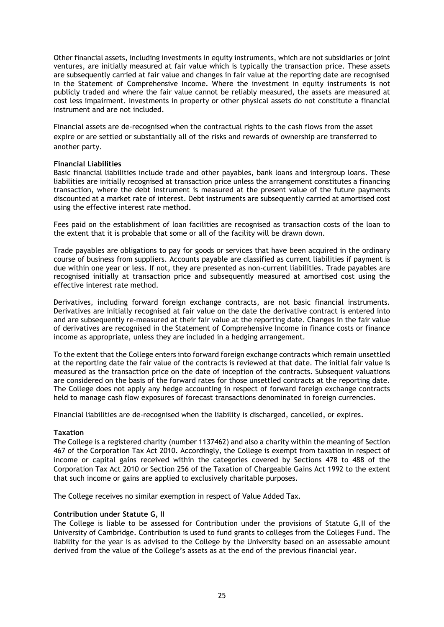Other financial assets, including investments in equity instruments, which are not subsidiaries or joint ventures, are initially measured at fair value which is typically the transaction price. These assets are subsequently carried at fair value and changes in fair value at the reporting date are recognised in the Statement of Comprehensive Income. Where the investment in equity instruments is not publicly traded and where the fair value cannot be reliably measured, the assets are measured at cost less impairment. Investments in property or other physical assets do not constitute a financial instrument and are not included.

Financial assets are de-recognised when the contractual rights to the cash flows from the asset expire or are settled or substantially all of the risks and rewards of ownership are transferred to another party.

#### **Financial Liabilities**

Basic financial liabilities include trade and other payables, bank loans and intergroup loans. These liabilities are initially recognised at transaction price unless the arrangement constitutes a financing transaction, where the debt instrument is measured at the present value of the future payments discounted at a market rate of interest. Debt instruments are subsequently carried at amortised cost using the effective interest rate method.

Fees paid on the establishment of loan facilities are recognised as transaction costs of the loan to the extent that it is probable that some or all of the facility will be drawn down.

Trade payables are obligations to pay for goods or services that have been acquired in the ordinary course of business from suppliers. Accounts payable are classified as current liabilities if payment is due within one year or less. If not, they are presented as non-current liabilities. Trade payables are recognised initially at transaction price and subsequently measured at amortised cost using the effective interest rate method.

Derivatives, including forward foreign exchange contracts, are not basic financial instruments. Derivatives are initially recognised at fair value on the date the derivative contract is entered into and are subsequently re-measured at their fair value at the reporting date. Changes in the fair value of derivatives are recognised in the Statement of Comprehensive Income in finance costs or finance income as appropriate, unless they are included in a hedging arrangement.

To the extent that the College enters into forward foreign exchange contracts which remain unsettled at the reporting date the fair value of the contracts is reviewed at that date. The initial fair value is measured as the transaction price on the date of inception of the contracts. Subsequent valuations are considered on the basis of the forward rates for those unsettled contracts at the reporting date. The College does not apply any hedge accounting in respect of forward foreign exchange contracts held to manage cash flow exposures of forecast transactions denominated in foreign currencies.

Financial liabilities are de-recognised when the liability is discharged, cancelled, or expires.

## **Taxation**

The College is a registered charity (number 1137462) and also a charity within the meaning of Section 467 of the Corporation Tax Act 2010. Accordingly, the College is exempt from taxation in respect of income or capital gains received within the categories covered by Sections 478 to 488 of the Corporation Tax Act 2010 or Section 256 of the Taxation of Chargeable Gains Act 1992 to the extent that such income or gains are applied to exclusively charitable purposes.

The College receives no similar exemption in respect of Value Added Tax.

## **Contribution under Statute G, II**

The College is liable to be assessed for Contribution under the provisions of Statute G,II of the University of Cambridge. Contribution is used to fund grants to colleges from the Colleges Fund. The liability for the year is as advised to the College by the University based on an assessable amount derived from the value of the College's assets as at the end of the previous financial year.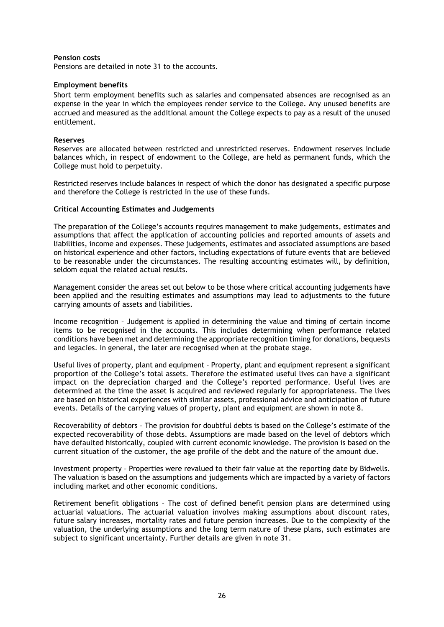#### **Pension costs**

Pensions are detailed in note 31 to the accounts.

#### **Employment benefits**

Short term employment benefits such as salaries and compensated absences are recognised as an expense in the year in which the employees render service to the College. Any unused benefits are accrued and measured as the additional amount the College expects to pay as a result of the unused entitlement.

#### **Reserves**

Reserves are allocated between restricted and unrestricted reserves. Endowment reserves include balances which, in respect of endowment to the College, are held as permanent funds, which the College must hold to perpetuity.

Restricted reserves include balances in respect of which the donor has designated a specific purpose and therefore the College is restricted in the use of these funds.

#### **Critical Accounting Estimates and Judgements**

The preparation of the College's accounts requires management to make judgements, estimates and assumptions that affect the application of accounting policies and reported amounts of assets and liabilities, income and expenses. These judgements, estimates and associated assumptions are based on historical experience and other factors, including expectations of future events that are believed to be reasonable under the circumstances. The resulting accounting estimates will, by definition, seldom equal the related actual results.

Management consider the areas set out below to be those where critical accounting judgements have been applied and the resulting estimates and assumptions may lead to adjustments to the future carrying amounts of assets and liabilities.

Income recognition – Judgement is applied in determining the value and timing of certain income items to be recognised in the accounts. This includes determining when performance related conditions have been met and determining the appropriate recognition timing for donations, bequests and legacies. In general, the later are recognised when at the probate stage.

Useful lives of property, plant and equipment – Property, plant and equipment represent a significant proportion of the College's total assets. Therefore the estimated useful lives can have a significant impact on the depreciation charged and the College's reported performance. Useful lives are determined at the time the asset is acquired and reviewed regularly for appropriateness. The lives are based on historical experiences with similar assets, professional advice and anticipation of future events. Details of the carrying values of property, plant and equipment are shown in note 8.

Recoverability of debtors – The provision for doubtful debts is based on the College's estimate of the expected recoverability of those debts. Assumptions are made based on the level of debtors which have defaulted historically, coupled with current economic knowledge. The provision is based on the current situation of the customer, the age profile of the debt and the nature of the amount due.

Investment property – Properties were revalued to their fair value at the reporting date by Bidwells. The valuation is based on the assumptions and judgements which are impacted by a variety of factors including market and other economic conditions.

Retirement benefit obligations – The cost of defined benefit pension plans are determined using actuarial valuations. The actuarial valuation involves making assumptions about discount rates, future salary increases, mortality rates and future pension increases. Due to the complexity of the valuation, the underlying assumptions and the long term nature of these plans, such estimates are subject to significant uncertainty. Further details are given in note 31.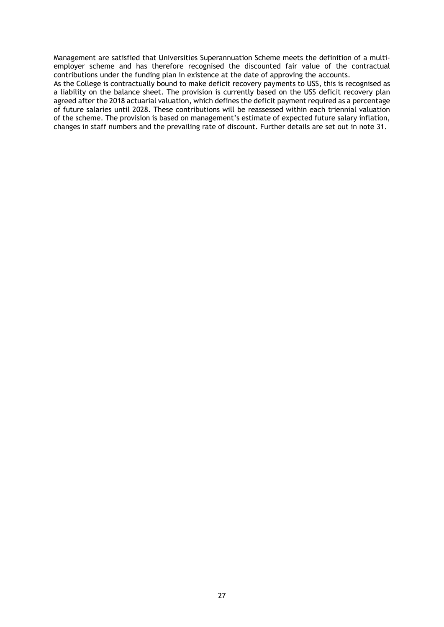Management are satisfied that Universities Superannuation Scheme meets the definition of a multiemployer scheme and has therefore recognised the discounted fair value of the contractual contributions under the funding plan in existence at the date of approving the accounts.

As the College is contractually bound to make deficit recovery payments to USS, this is recognised as a liability on the balance sheet. The provision is currently based on the USS deficit recovery plan agreed after the 2018 actuarial valuation, which defines the deficit payment required as a percentage of future salaries until 2028. These contributions will be reassessed within each triennial valuation of the scheme. The provision is based on management's estimate of expected future salary inflation, changes in staff numbers and the prevailing rate of discount. Further details are set out in note 31.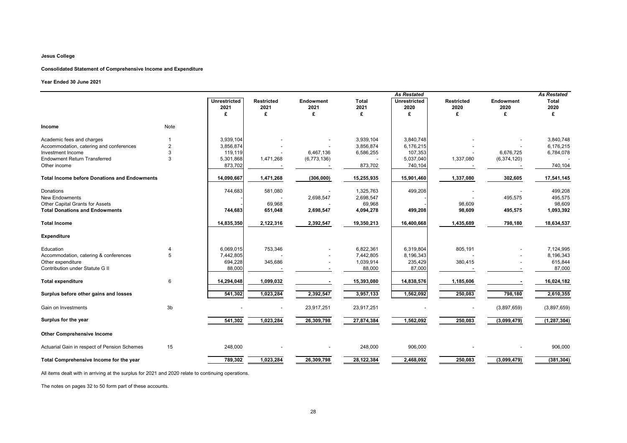|                                                     |                |                             |                           | <b>As Restated</b>       |                      |                             |                           | <b>As Restated</b>       |                      |
|-----------------------------------------------------|----------------|-----------------------------|---------------------------|--------------------------|----------------------|-----------------------------|---------------------------|--------------------------|----------------------|
|                                                     |                | <b>Unrestricted</b><br>2021 | <b>Restricted</b><br>2021 | <b>Endowment</b><br>2021 | <b>Total</b><br>2021 | <b>Unrestricted</b><br>2020 | <b>Restricted</b><br>2020 | <b>Endowment</b><br>2020 | <b>Total</b><br>2020 |
|                                                     |                | £                           | £                         | £                        | £                    | £                           | £                         | £                        | £                    |
| <b>Income</b>                                       | Note           |                             |                           |                          |                      |                             |                           |                          |                      |
| Academic fees and charges                           |                | 3,939,104                   |                           |                          | 3,939,104            | 3,840,748                   |                           |                          | 3,840,748            |
| Accommodation, catering and conferences             | $\overline{2}$ | 3,856,874                   |                           |                          | 3,856,874            | 6,176,215                   |                           |                          | 6,176,215            |
| Investment Income                                   | 3              | 119,119                     |                           | 6,467,136                | 6,586,255            | 107,353                     |                           | 6,676,725                | 6,784,078            |
| <b>Endowment Return Transferred</b>                 | 3              | 5,301,868                   | 1,471,268                 | (6,773,136)              |                      | 5,037,040                   | 1,337,080                 | (6,374,120)              |                      |
| Other income                                        |                | 873,702                     |                           |                          | 873,702              | 740,104                     |                           |                          | 740,104              |
| <b>Total Income before Donations and Endowments</b> |                | 14,090,667                  | 1,471,268                 | (306,000)                | 15,255,935           | 15,901,460                  | 1,337,080                 | 302,605                  | 17,541,145           |
| Donations                                           |                | 744,683                     | 581,080                   |                          | 1,325,763            | 499,208                     |                           |                          | 499,208              |
| <b>New Endowments</b>                               |                |                             |                           | 2,698,547                | 2,698,547            |                             |                           | 495,575                  | 495,575              |
| Other Capital Grants for Assets                     |                |                             | 69,968                    |                          | 69,968               |                             | 98,609                    |                          | 98,609               |
| <b>Total Donations and Endowments</b>               |                | 744,683                     | 651,048                   | 2,698,547                | 4,094,278            | 499,208                     | 98,609                    | 495,575                  | 1,093,392            |
| <b>Total Income</b>                                 |                | 14,835,350                  | 2,122,316                 | 2,392,547                | 19,350,213           | 16,400,668                  | 1,435,689                 | 798,180                  | 18,634,537           |
| <b>Expenditure</b>                                  |                |                             |                           |                          |                      |                             |                           |                          |                      |
| Education                                           | 4              | 6,069,015                   | 753,346                   |                          | 6,822,361            | 6,319,804                   | 805,191                   |                          | 7,124,995            |
| Accommodation, catering & conferences               | 5              | 7,442,805                   |                           |                          | 7,442,805            | 8,196,343                   |                           |                          | 8,196,343            |
| Other expenditure                                   |                | 694,228                     | 345,686                   |                          | 1,039,914            | 235,429                     | 380,415                   |                          | 615,844              |
| Contribution under Statute G II                     |                | 88,000                      |                           |                          | 88,000               | 87,000                      |                           |                          | 87,000               |
| <b>Total expenditure</b>                            | 6              | 14,294,048                  | 1,099,032                 |                          | 15,393,080           | 14,838,576                  | 1,185,606                 |                          | 16,024,182           |
| Surplus before other gains and losses               |                | 541,302                     | 1,023,284                 | 2,392,547                | 3,957,133            | 1,562,092                   | 250,083                   | 798,180                  | 2,610,355            |
| Gain on Investments                                 | 3 <sub>b</sub> |                             |                           | 23,917,251               | 23,917,251           |                             |                           | (3,897,659)              | (3,897,659)          |
| Surplus for the year                                |                | 541,302                     | 1,023,284                 | 26,309,798               | 27,874,384           | 1,562,092                   | 250,083                   | (3,099,479)              | (1, 287, 304)        |
| <b>Other Comprehensive Income</b>                   |                |                             |                           |                          |                      |                             |                           |                          |                      |
| Actuarial Gain in respect of Pension Schemes        | 15             | 248,000                     |                           |                          | 248,000              | 906,000                     |                           |                          | 906,000              |
|                                                     |                |                             |                           |                          |                      |                             |                           |                          |                      |
| Total Comprehensive Income for the year             |                | 789,302                     | 1,023,284                 | 26,309,798               | 28, 122, 384         | $\overline{2,}468,092$      | 250,083                   | (3,099,479)              | (381, 304)           |

All items dealt with in arriving at the surplus for 2021 and 2020 relate to continuing operations.

The notes on pages 32 to 50 form part of these accounts.

## **Year Ended 30 June 2021**

## **Consolidated Statement of Comprehensive Income and Expenditure**

## **Jesus College**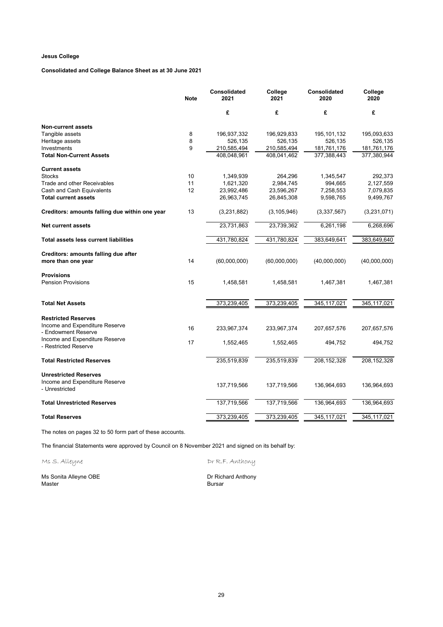## **Consolidated and College Balance Sheet as at 30 June 2021**

|                                                        | <b>Note</b> | Consolidated<br>2021 | College<br>2021 | <b>Consolidated</b><br>2020 | College<br>2020 |
|--------------------------------------------------------|-------------|----------------------|-----------------|-----------------------------|-----------------|
|                                                        |             | £                    | £               | £                           | £               |
| <b>Non-current assets</b>                              |             |                      |                 |                             |                 |
| Tangible assets                                        | 8           | 196,937,332          | 196,929,833     | 195, 101, 132               | 195,093,633     |
| Heritage assets                                        | 8           | 526,135              | 526,135         | 526,135                     | 526,135         |
| Investments                                            | 9           | 210,585,494          | 210,585,494     | 181,761,176                 | 181,761,176     |
| <b>Total Non-Current Assets</b>                        |             | 408,048,961          | 408,041,462     | 377,388,443                 | 377,380,944     |
| <b>Current assets</b>                                  |             |                      |                 |                             |                 |
| <b>Stocks</b>                                          | 10          | 1,349,939            | 264,296         | 1,345,547                   | 292,373         |
| Trade and other Receivables                            | 11          | 1,621,320            | 2,984,745       | 994,665                     | 2,127,559       |
| Cash and Cash Equivalents                              | 12          | 23,992,486           | 23,596,267      | 7,258,553                   | 7,079,835       |
| <b>Total current assets</b>                            |             | 26,963,745           | 26,845,308      | 9,598,765                   | 9,499,767       |
| Creditors: amounts falling due within one year         | 13          | (3,231,882)          | (3, 105, 946)   | (3,337,567)                 | (3,231,071)     |
| <b>Net current assets</b>                              |             | 23,731,863           | 23,739,362      | 6,261,198                   | 6,268,696       |
| <b>Total assets less current liabilities</b>           |             | 431,780,824          | 431,780,824     | 383,649,641                 | 383,649,640     |
| <b>Creditors: amounts falling due after</b>            |             |                      |                 |                             |                 |
| more than one year                                     | 14          | (60,000,000)         | (60,000,000)    | (40,000,000)                | (40,000,000)    |
| <b>Provisions</b>                                      |             |                      |                 |                             |                 |
| <b>Pension Provisions</b>                              | 15          | 1,458,581            | 1,458,581       | 1,467,381                   | 1,467,381       |
| <b>Total Net Assets</b>                                |             | 373,239,405          | 373,239,405     | 345,117,021                 | 345,117,021     |
|                                                        |             |                      |                 |                             |                 |
| <b>Restricted Reserves</b>                             |             |                      |                 |                             |                 |
| Income and Expenditure Reserve<br>- Endowment Reserve  | 16          | 233,967,374          | 233,967,374     | 207,657,576                 | 207,657,576     |
| Income and Expenditure Reserve<br>- Restricted Reserve | 17          | 1,552,465            | 1,552,465       | 494,752                     | 494,752         |
|                                                        |             |                      |                 |                             |                 |
| <b>Total Restricted Reserves</b>                       |             | 235,519,839          | 235,519,839     | 208, 152, 328               | 208, 152, 328   |
| <b>Unrestricted Reserves</b>                           |             |                      |                 |                             |                 |
| Income and Expenditure Reserve<br>- Unrestricted       |             | 137,719,566          | 137,719,566     | 136,964,693                 | 136,964,693     |
| <b>Total Unrestricted Reserves</b>                     |             | 137,719,566          | 137,719,566     | 136,964,693                 | 136,964,693     |
| <b>Total Reserves</b>                                  |             | 373,239,405          | 373,239,405     | 345, 117, 021               | 345,117,021     |

The notes on pages 32 to 50 form part of these accounts.

The financial Statements were approved by Council on 8 November 2021 and signed on its behalf by:

Ms S. Alleyne Dr R.F. Anthony

Ms Sonita Alleyne OBE **Dr Richard Anthony** Master Bursar (1999) and the set of the set of the set of the set of the set of the set of the set of the set o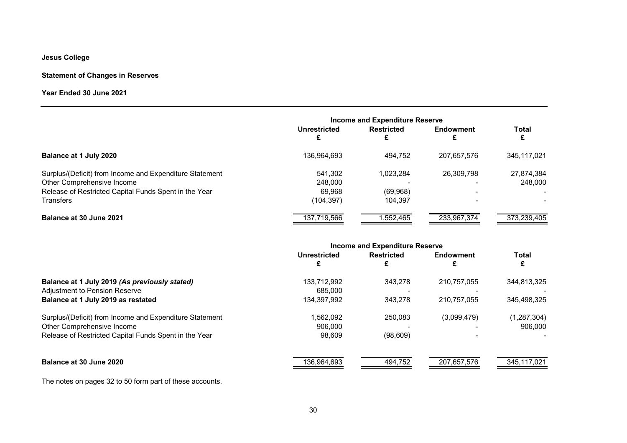## **Statement of Changes in Reserves**

## **Year Ended 30 June 2021**

|                                                                                       | <b>Income and Expenditure Reserve</b> |                      |                  |                       |
|---------------------------------------------------------------------------------------|---------------------------------------|----------------------|------------------|-----------------------|
|                                                                                       | Unrestricted                          | <b>Restricted</b>    | <b>Endowment</b> | <b>Total</b>          |
| Balance at 1 July 2020                                                                | 136.964.693                           | 494,752              | 207.657.576      | 345,117,021           |
| Surplus/(Deficit) from Income and Expenditure Statement<br>Other Comprehensive Income | 541,302<br>248,000                    | 1,023,284            | 26,309,798       | 27,874,384<br>248,000 |
| Release of Restricted Capital Funds Spent in the Year<br><b>Transfers</b>             | 69,968<br>(104, 397)                  | (69, 968)<br>104.397 |                  |                       |
| Balance at 30 June 2021                                                               | 137,719,566                           | 552,465              | 233,967,374      | 373,239,405           |

| <b>Income and Expenditure Reserve</b> |                   |                  |               |
|---------------------------------------|-------------------|------------------|---------------|
| Unrestricted                          | <b>Restricted</b> | <b>Endowment</b> | <b>Total</b>  |
| 133,712,992                           | 343,278           | 210,757,055      | 344,813,325   |
| 685,000                               |                   |                  |               |
| 134,397,992                           | 343,278           | 210,757,055      | 345,498,325   |
| 1,562,092                             | 250,083           | (3,099,479)      | (1, 287, 304) |
| 906,000                               |                   |                  | 906,000       |
| 98,609                                | (98, 609)         |                  |               |
| 136,964,693                           | 494,752           | 207,657,576      | 345,117,021   |
|                                       |                   |                  |               |

The notes on pages 32 to 50 form part of these accounts.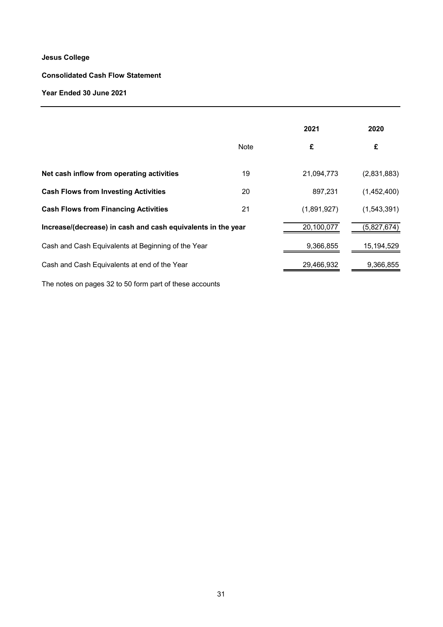## **Consolidated Cash Flow Statement**

## **Year Ended 30 June 2021**

|                                                              |             | 2021        | 2020        |
|--------------------------------------------------------------|-------------|-------------|-------------|
|                                                              | <b>Note</b> | £           | £           |
| Net cash inflow from operating activities                    | 19          | 21,094,773  | (2,831,883) |
| <b>Cash Flows from Investing Activities</b>                  | 20          | 897,231     | (1,452,400) |
| <b>Cash Flows from Financing Activities</b>                  | 21          | (1,891,927) | (1,543,391) |
| Increase/(decrease) in cash and cash equivalents in the year |             | 20,100,077  | (5,827,674) |
| Cash and Cash Equivalents at Beginning of the Year           |             | 9,366,855   | 15,194,529  |
| Cash and Cash Equivalents at end of the Year                 |             | 29,466,932  | 9,366,855   |
|                                                              |             |             |             |

The notes on pages 32 to 50 form part of these accounts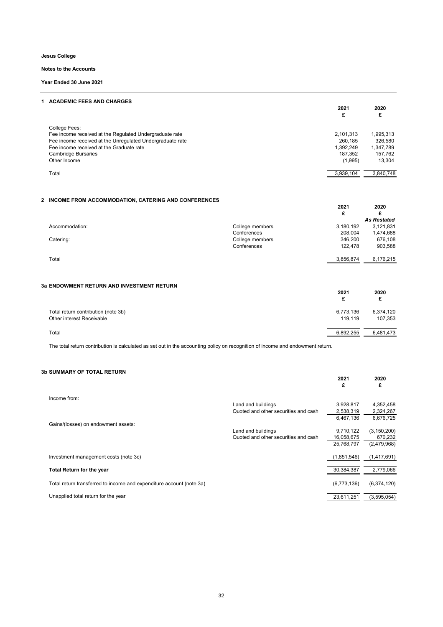32

#### **1 ACADEMIC FEES AND CHARGES**

|                                                           | 2021<br>£ | 2020<br>£ |
|-----------------------------------------------------------|-----------|-----------|
| College Fees:                                             |           |           |
| Fee income received at the Regulated Undergraduate rate   | 2,101,313 | 1,995,313 |
| Fee income received at the Unregulated Undergraduate rate | 260,185   | 326,580   |
| Fee income received at the Graduate rate                  | 1,392,249 | 1,347,789 |
| Cambridge Bursaries                                       | 187,352   | 157,762   |
| Other Income                                              | (1,995)   | 13,304    |
| Total                                                     | 3,939,104 | 3,840,748 |
|                                                           |           |           |

## **2 INCOME FROM ACCOMMODATION, CATERING AND CONFERENCES**

|                |                 | 2021<br>£ | 2020               |
|----------------|-----------------|-----------|--------------------|
|                |                 |           | <b>As Restated</b> |
| Accommodation: | College members | 3,180,192 | 3,121,831          |
|                | Conferences     | 208,004   | 1,474,688          |
| Catering:      | College members | 346,200   | 676,108            |
|                | Conferences     | 122,478   | 903,588            |
|                |                 |           |                    |

Total 3,856,874 6,176,215

## **3a ENDOWMENT RETURN AND INVESTMENT RETURN**

|                                                                  | 2021                 | 2020                 |
|------------------------------------------------------------------|----------------------|----------------------|
| Total return contribution (note 3b)<br>Other interest Receivable | 6,773,136<br>119,119 | 6,374,120<br>107,353 |
| Total                                                            | 6,892,255            | 6,481,473            |

The total return contribution is calculated as set out in the accounting policy on recognition of income and endowment return.

#### **3b SUMMARY OF TOTAL RETURN**

|                                                                      | 2021<br>£   | 2020<br>£     |
|----------------------------------------------------------------------|-------------|---------------|
| Income from:                                                         |             |               |
| Land and buildings                                                   | 3,928,817   | 4,352,458     |
| Quoted and other securities and cash                                 | 2,538,319   | 2,324,267     |
|                                                                      | 6,467,136   | 6,676,725     |
| Gains/(losses) on endowment assets:                                  |             |               |
| Land and buildings                                                   | 9,710,122   | (3, 150, 200) |
| Quoted and other securities and cash                                 | 16,058,675  | 670,232       |
|                                                                      | 25,768,797  | (2,479,968)   |
| Investment management costs (note 3c)                                | (1,851,546) | (1,417,691)   |
| <b>Total Return for the year</b>                                     | 30,384,387  | 2,779,066     |
| Total return transferred to income and expenditure account (note 3a) | (6,773,136) | (6,374,120)   |
| Unapplied total return for the year                                  | 23,611,251  | (3,595,054)   |

**Jesus College**

**Notes to the Accounts**

**Year Ended 30 June 2021**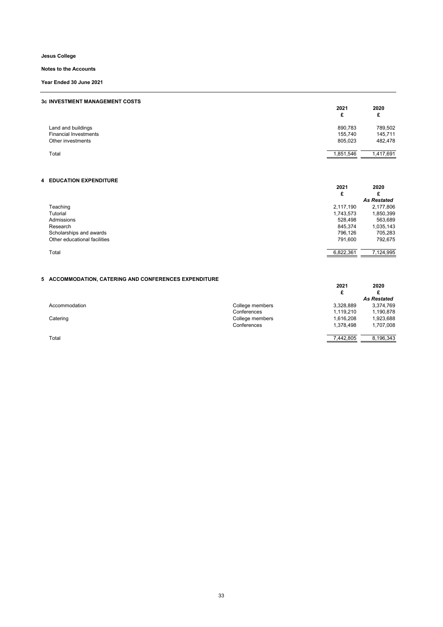33

## **3c INVESTMENT MANAGEMENT COSTS**

|                              | 2021<br>£ | 2020<br>£<br>~ |
|------------------------------|-----------|----------------|
| Land and buildings           | 890,783   | 789,502        |
| <b>Financial Investments</b> | 155,740   | 145,711        |
| Other investments            | 805,023   | 482,478        |
| Total                        | 1,851,546 | 1,417,691      |

## **4 EDUCATION EXPENDITURE**

|                              | 2021<br>£ | 2020<br>£          |
|------------------------------|-----------|--------------------|
|                              |           | <b>As Restated</b> |
| Teaching                     | 2,117,190 | 2,177,806          |
| Tutorial                     | 1,743,573 | 1,850,399          |
| Admissions                   | 528,498   | 563,689            |
| Research                     | 845,374   | 1,035,143          |
| Scholarships and awards      | 796,126   | 705,283            |
| Other educational facilities | 791,600   | 792,675            |
| Total                        | 6,822,361 | 7,124,995          |

## **5 ACCOMMODATION, CATERING AND CONFERENCES EXPENDITURE**

|               |                 | 2021<br>£ | 2020               |
|---------------|-----------------|-----------|--------------------|
|               |                 |           | <b>As Restated</b> |
| Accommodation | College members | 3,328,889 | 3,374,769          |
|               | Conferences     | 1,119,210 | 1,190,878          |
| Catering      | College members | 1,616,208 | 1,923,688          |
|               | Conferences     | 1,378,498 | 1,707,008          |
| Total         |                 | 7,442,805 | 8,196,343          |

**Jesus College**

**Notes to the Accounts**

**Year Ended 30 June 2021**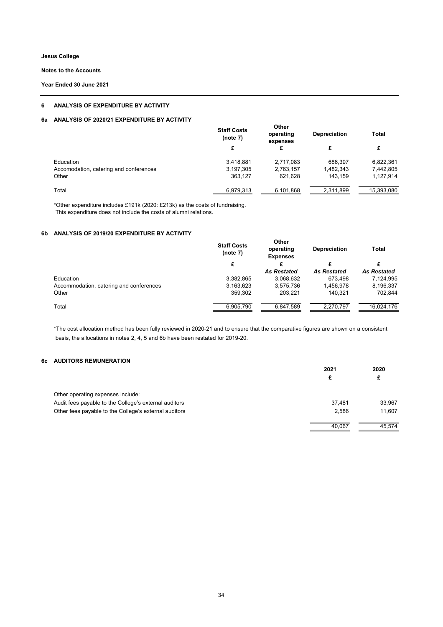**Notes to the Accounts**

**Year Ended 30 June 2021**

## **6 ANALYSIS OF EXPENDITURE BY ACTIVITY**

## **6a ANALYSIS OF 2020/21 EXPENDITURE BY ACTIVITY**

|                                        | <b>Staff Costs</b><br>(note 7) | <b>Other</b><br>operating<br>expenses | <b>Depreciation</b> | <b>Total</b> |
|----------------------------------------|--------------------------------|---------------------------------------|---------------------|--------------|
|                                        | £                              | £                                     | £                   | £            |
| Education                              | 3,418,881                      | 2,717,083                             | 686,397             | 6,822,361    |
| Accomodation, catering and conferences | 3,197,305                      | 2,763,157                             | 1,482,343           | 7,442,805    |
| Other                                  | 363,127                        | 621,628                               | 143,159             | 1,127,914    |
| Total                                  | 6,979,313                      | 6,101,868                             | 2,311,899           | 15,393,080   |

\*Other expenditure includes £191k (2020: £213k) as the costs of fundraising. This expenditure does not include the costs of alumni relations.

## **6b ANALYSIS OF 2019/20 EXPENDITURE BY ACTIVITY**

|                                         | <b>Other</b><br><b>Staff Costs</b><br>operating<br>(note 7)<br><b>Expenses</b> |                    | <b>Depreciation</b> | <b>Total</b>       |
|-----------------------------------------|--------------------------------------------------------------------------------|--------------------|---------------------|--------------------|
|                                         | £                                                                              |                    | £                   |                    |
|                                         |                                                                                | <b>As Restated</b> | <b>As Restated</b>  | <b>As Restated</b> |
| Education                               | 3,382,865                                                                      | 3,068,632          | 673,498             | 7,124,995          |
| Accommodation, catering and conferences | 3,163,623                                                                      | 3,575,736          | 1,456,978           | 8,196,337          |
| Other                                   | 359,302                                                                        | 203,221            | 140,321             | 702,844            |
| Total                                   | 6,905,790                                                                      | 6,847,589          | 2,270,797           | 16,024,176         |

\*The cost allocation method has been fully reviewed in 2020-21 and to ensure that the comparative figures are shown on a consistent basis, the allocations in notes 2, 4, 5 and 6b have been restated for 2019-20.

## **6c AUDITORS REMUNERATION**

|                                                       | 2021   | 2020   |
|-------------------------------------------------------|--------|--------|
|                                                       | £      | £      |
| Other operating expenses include:                     |        |        |
| Audit fees payable to the College's external auditors | 37,481 | 33,967 |
| Other fees payable to the College's external auditors | 2,586  | 11,607 |
|                                                       | 40,067 | 45,574 |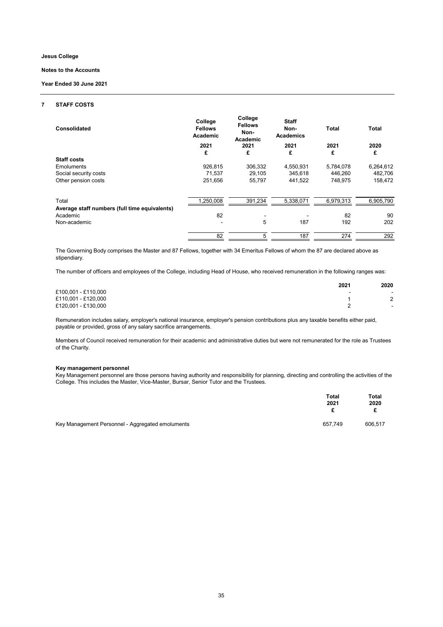

#### **7 STAFF COSTS**

| <b>Consolidated</b>                                                       | College<br><b>Fellows</b><br><b>Academic</b><br>2021 | College<br><b>Fellows</b><br>Non-<br><b>Academic</b><br>2021 | <b>Staff</b><br>Non-<br><b>Academics</b><br>2021 | <b>Total</b><br>2021 | <b>Total</b><br>2020 |
|---------------------------------------------------------------------------|------------------------------------------------------|--------------------------------------------------------------|--------------------------------------------------|----------------------|----------------------|
| <b>Staff costs</b>                                                        | £                                                    | £                                                            | £                                                | £                    | £                    |
| <b>Emoluments</b><br>Social security costs                                | 926,815<br>71,537                                    | 306,332<br>29,105                                            | 4,550,931<br>345,618                             | 5,784,078<br>446,260 | 6,264,612<br>482,706 |
| Other pension costs                                                       | 251,656                                              | 55,797                                                       | 441,522                                          | 748,975              | 158,472              |
| Total                                                                     | 1,250,008                                            | 391,234                                                      | 5,338,071                                        | 6,979,313            | 6,905,790            |
| Average staff numbers (full time equivalents)<br>Academic<br>Non-academic | 82                                                   | 5                                                            | 187                                              | 82<br>192            | 90<br>202            |
|                                                                           | 82                                                   | 5                                                            | 187                                              | 274                  | 292                  |

|                     | 2021                     | 2020                     |
|---------------------|--------------------------|--------------------------|
| £100,001 - £110,000 | $\overline{\phantom{a}}$ | $\sim$                   |
| £110,001 - £120,000 |                          |                          |
| £120,001 - £130,000 |                          | $\overline{\phantom{a}}$ |

#### **Key management personnel**

|                                                  | Total<br>2021 | Total<br>2020 |
|--------------------------------------------------|---------------|---------------|
| Key Management Personnel - Aggregated emoluments | 657,749       | 606,517       |

Key Management personnel are those persons having authority and responsibility for planning, directing and controlling the activities of the College. This includes the Master, Vice-Master, Bursar, Senior Tutor and the Trustees.

#### **Jesus College**

**Notes to the Accounts**

#### **Year Ended 30 June 2021**

The number of officers and employees of the College, including Head of House, who received remuneration in the following ranges was:

Remuneration includes salary, employer's national insurance, employer's pension contributions plus any taxable benefits either paid, payable or provided, gross of any salary sacrifice arrangements.

Members of Council received remuneration for their academic and administrative duties but were not remunerated for the role as Trustees of the Charity.

The Governing Body comprises the Master and 87 Fellows, together with 34 Emeritus Fellows of whom the 87 are declared above as stipendiary.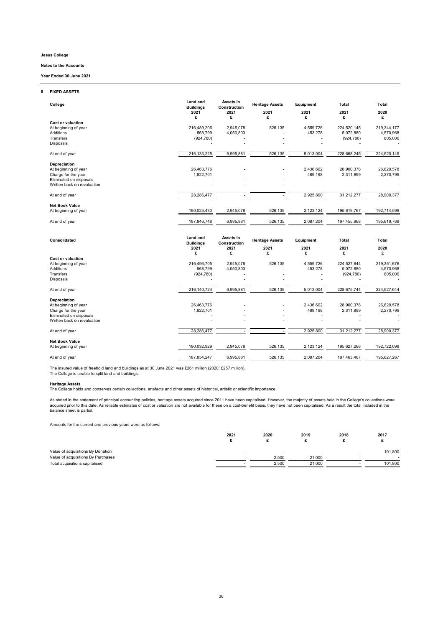## **8 FIXED ASSETS**

| College                                                                                                                      | <b>Land and</b><br><b>Buildings</b><br>2021 | Assets in<br><b>Construction</b><br>2021 | <b>Heritage Assets</b><br>2021 | <b>Equipment</b><br>2021  | <b>Total</b><br>2021                        | <b>Total</b><br>2020                     |
|------------------------------------------------------------------------------------------------------------------------------|---------------------------------------------|------------------------------------------|--------------------------------|---------------------------|---------------------------------------------|------------------------------------------|
|                                                                                                                              | £                                           | £                                        | £                              | £                         | £                                           | £                                        |
| <b>Cost or valuation</b><br>At beginning of year<br>Additions                                                                | 216,489,206<br>568,799                      | 2,945,078<br>4,050,803                   | 526,135                        | 4,559,726<br>453,278      | 224,520,145<br>5,072,880                    | 219,344,177<br>4,570,968                 |
| Transfers<br>Disposals                                                                                                       | (924, 780)                                  |                                          |                                |                           | (924, 780)                                  | 605,000                                  |
| At end of year                                                                                                               | 216, 133, 225                               | 6,995,881                                | 526,135                        | 5,013,004                 | 228,668,245                                 | 224,520,145                              |
| <b>Depreciation</b><br>At beginning of year<br>Charge for the year<br>Eliminated on disposals<br>Written back on revaluation | 26,463,776<br>1,822,701                     |                                          |                                | 2,436,602<br>489,198      | 28,900,378<br>2,311,899                     | 26,629,578<br>2,270,799                  |
| At end of year                                                                                                               | 28,286,477                                  |                                          |                                | 2,925,800                 | 31,212,277                                  | 28,900,377                               |
|                                                                                                                              |                                             |                                          |                                |                           |                                             |                                          |
| <b>Net Book Value</b><br>At beginning of year                                                                                | 190,025,430                                 | 2,945,078                                | 526,135                        | 2,123,124                 | 195,619,767                                 | 192,714,599                              |
| At end of year                                                                                                               | 187,846,748                                 | 6,995,881                                | 526,135                        | 2,087,204                 | 197,455,968                                 | 195,619,768                              |
|                                                                                                                              |                                             |                                          |                                |                           |                                             |                                          |
| <b>Consolidated</b>                                                                                                          | <b>Land and</b><br><b>Buildings</b>         | Assets in<br><b>Construction</b>         | <b>Heritage Assets</b>         | <b>Equipment</b>          | <b>Total</b>                                | <b>Total</b>                             |
|                                                                                                                              | 2021<br>£                                   | 2021                                     | 2021                           | 2021                      | 2021                                        | 2020                                     |
| <b>Cost or valuation</b><br>At beginning of year<br>Additions<br><b>Transfers</b><br>Disposals                               | 216,496,705<br>568,799<br>(924, 780)        | £<br>2,945,078<br>4,050,803              | £<br>526,135                   | £<br>4,559,726<br>453,278 | £<br>224,527,644<br>5,072,880<br>(924, 780) | £<br>219,351,676<br>4,570,968<br>605,000 |
| At end of year                                                                                                               | 216, 140, 724                               | 6,995,881                                | 526,135                        | 5,013,004                 | 228,675,744                                 | 224,527,644                              |
| <b>Depreciation</b><br>At beginning of year<br>Charge for the year<br>Eliminated on disposals<br>Written back on revaluation | 26,463,776<br>1,822,701                     |                                          |                                | 2,436,602<br>489,198      | 28,900,378<br>2,311,899                     | 26,629,578<br>2,270,799                  |
| At end of year                                                                                                               | 28,286,477                                  |                                          |                                | 2,925,800                 | 31,212,277                                  | 28,900,377                               |
| <b>Net Book Value</b><br>At beginning of year                                                                                | 190,032,929                                 | 2,945,078                                | 526,135                        | 2,123,124                 | 195,627,266                                 | 192,722,098                              |

The insured value of freehold land and buildings as at 30 June 2021 was £261 million (2020: £257 million). The College is unable to split land and buildings.

## **Heritage Assets**

|                                    | 2021                     | 2020  | 2019                     | 2018   | 2017    |
|------------------------------------|--------------------------|-------|--------------------------|--------|---------|
|                                    |                          |       |                          |        |         |
| Value of acquisitions By Donation  | $\overline{\phantom{a}}$ |       | $\overline{\phantom{a}}$ | $\sim$ | 101,800 |
| Value of acquisitions By Purchases |                          | 2,500 | 21,000                   |        |         |
| Total acquisitions capitalised     |                          | 2,500 | 21,000                   |        | 101,800 |

The College holds and conserves certain collections, artefacts and other assets of historical, artistic or scientific importance.

As stated in the statement of principal accounting policies, heritage assets acquired since 2011 have been capitalised. However, the majority of assets held in the College's collections were acquired prior to this date. As reliable estimates of cost or valuation are not available for these on a cost-benefit basis, they have not been capitalised. As a result the total included in the balance sheet is partial.

## **Jesus College**

**Notes to the Accounts**

**Year Ended 30 June 2021**

Amounts for the current and previous years were as follows: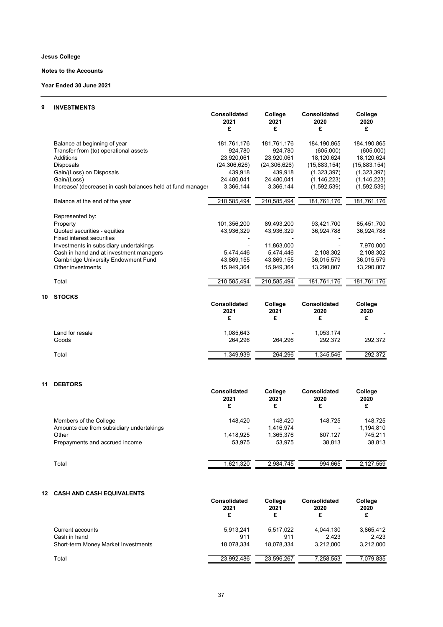## **Notes to the Accounts**

**Year Ended 30 June 2021**

## **9 INVESTMENTS**

|                                                            | <b>Consolidated</b><br>2021<br>£ | College<br>2021<br>£ | <b>Consolidated</b><br>2020<br>£ | College<br>2020<br>£ |
|------------------------------------------------------------|----------------------------------|----------------------|----------------------------------|----------------------|
| Balance at beginning of year                               | 181,761,176                      | 181,761,176          | 184,190,865                      | 184,190,865          |
| Transfer from (to) operational assets                      | 924,780                          | 924,780              | (605,000)                        | (605,000)            |
| <b>Additions</b>                                           | 23,920,061                       | 23,920,061           | 18,120,624                       | 18,120,624           |
| <b>Disposals</b>                                           | (24, 306, 626)                   | (24, 306, 626)       | (15,883,154)                     | (15,883,154)         |
| Gain/(Loss) on Disposals                                   | 439,918                          | 439,918              | (1,323,397)                      | (1,323,397)          |
| Gain/(Loss)                                                | 24,480,041                       | 24,480,041           | (1, 146, 223)                    | (1, 146, 223)        |
| Increase/ (decrease) in cash balances held at fund manager | 3,366,144                        | 3,366,144            | (1,592,539)                      | (1,592,539)          |
| Balance at the end of the year                             | 210,585,494                      | 210,585,494          | 181,761,176                      | 181,761,176          |
| Represented by:                                            |                                  |                      |                                  |                      |
| Property                                                   | 101,356,200                      | 89,493,200           | 93,421,700                       | 85,451,700           |
| Quoted securities - equities                               | 43,936,329                       | 43,936,329           | 36,924,788                       | 36,924,788           |
| <b>Fixed interest securities</b>                           |                                  |                      |                                  |                      |
| Investments in subsidiary undertakings                     |                                  | 11,863,000           |                                  | 7,970,000            |
| Cash in hand and at investment managers                    | 5,474,446                        | 5,474,446            | 2,108,302                        | 2,108,302            |
| <b>Cambridge University Endowment Fund</b>                 | 43,869,155                       | 43,869,155           | 36,015,579                       | 36,015,579           |
| Other investments                                          | 15,949,364                       | 15,949,364           | 13,290,807                       | 13,290,807           |
| Total                                                      | 210,585,494                      | 210,585,494          | 181,761,176                      | 181,761,176          |
| <b>STOCKS</b><br>10                                        |                                  |                      |                                  |                      |
|                                                            | <b>Consolidated</b><br>2021      | College<br>2021      | <b>Consolidated</b><br>2020      | College<br>2020      |
|                                                            | £                                | £                    | £                                | £                    |
| Land for resale                                            | 1,085,643                        |                      | 1,053,174                        |                      |
| Goods                                                      | 264,296                          | 264,296              | 292,372                          | 292,372              |
| Total                                                      | 1,349,939                        | 264,296              | 1,345,546                        | 292,372              |

## **11 DEBTORS**

|                                          | <b>Consolidated</b><br>2021<br>£ | College<br>2021<br>£ | <b>Consolidated</b><br>2020<br>£ | College<br>2020<br>£ |
|------------------------------------------|----------------------------------|----------------------|----------------------------------|----------------------|
|                                          |                                  |                      |                                  |                      |
| Members of the College                   | 148,420                          | 148.420              | 148,725                          | 148,725              |
| Amounts due from subsidiary undertakings |                                  | 1,416,974            |                                  | 1,194,810            |
| Other                                    | 1,418,925                        | 1,365,376            | 807.127                          | 745,211              |
| Prepayments and accrued income           | 53,975                           | 53.975               | 38,813                           | 38,813               |
|                                          |                                  |                      |                                  |                      |
| Total                                    | 1,621,320                        | 2,984,745            | 994,665                          | 2,127,559            |

## **12 CASH AND CASH EQUIVALENTS**

|                                            | <b>Consolidated</b><br>2021<br>£ | College<br>2021<br>£ | <b>Consolidated</b><br>2020<br>£ | College<br>2020<br>£ |
|--------------------------------------------|----------------------------------|----------------------|----------------------------------|----------------------|
| Current accounts                           | 5,913,241                        | 5,517,022            | 4,044,130                        | 3,865,412            |
| Cash in hand                               | 911                              | 911                  | 2,423                            | 2,423                |
| <b>Short-term Money Market Investments</b> | 18,078,334                       | 18,078,334           | 3,212,000                        | 3,212,000            |
| Total                                      | 23,992,486                       | 23,596,267           | 7,258,553                        | 7,079,835            |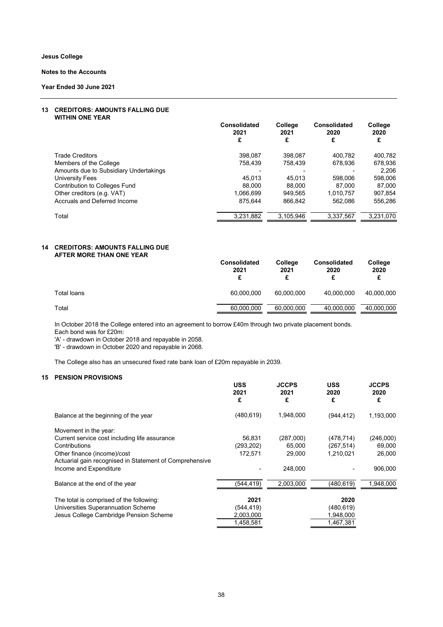**Year Ended 30 June 2021**

## **13 CREDITORS: AMOUNTS FALLING DUE WITHIN ONE YEAR**

|                                        | <b>Consolidated</b><br>2021 | College<br>2021 | <b>Consolidated</b><br>2020 | College<br>2020 |
|----------------------------------------|-----------------------------|-----------------|-----------------------------|-----------------|
|                                        | £                           | £               | £                           | £               |
| <b>Trade Creditors</b>                 | 398,087                     | 398,087         | 400.782                     | 400,782         |
| Members of the College                 | 758.439                     | 758,439         | 678,936                     | 678,936         |
| Amounts due to Subsidiary Undertakings |                             |                 |                             | 2,206           |
| University Fees                        | 45.013                      | 45,013          | 598,006                     | 598,006         |
| <b>Contribution to Colleges Fund</b>   | 88,000                      | 88,000          | 87.000                      | 87,000          |
| Other creditors (e.g. VAT)             | 1,066,699                   | 949.565         | 1,010,757                   | 907,854         |
| Accruals and Deferred Income           | 875,644                     | 866,842         | 562,086                     | 556,286         |
| Total                                  | 3,231,882                   | 3,105,946       | 3,337,567                   | 3,231,070       |

## **14 CREDITORS: AMOUNTS FALLING DUE AFTER MORE THAN ONE YEAR**

|             | <b>Consolidated</b><br>2021 | College<br>2021 | <b>Consolidated</b><br>2020 | College<br>2020 |
|-------------|-----------------------------|-----------------|-----------------------------|-----------------|
| Total loans | 60,000,000                  | 60,000,000      | 40,000,000                  | 40,000,000      |
| Total       | 60,000,000                  | 60,000,000      | 40,000,000                  | 40,000,000      |

In October 2018 the College entered into an agreement to borrow £40m through two private placement bonds. Each bond was for £20m:

'A' - drawdown in October 2018 and repayable in 2058.

'B' - drawdown in October 2020 and repayable in 2068.

The College also has an unsecured fixed rate bank loan of £20m repayable in 2039.

## **15 PENSION PROVISIONS**

|                                                         | <b>USS</b><br>2021<br>£ | <b>JCCPS</b><br>2021<br>£ | <b>USS</b><br>2020<br>£ | <b>JCCPS</b><br>2020<br>£ |
|---------------------------------------------------------|-------------------------|---------------------------|-------------------------|---------------------------|
| Balance at the beginning of the year                    | (480, 619)              | 1,948,000                 | (944, 412)              | 1,193,000                 |
| Movement in the year:                                   |                         |                           |                         |                           |
| Current service cost including life assurance           | 56,831                  | (287,000)                 | (478, 714)              | (246,000)                 |
| Contributions                                           | (293, 202)              | 65,000                    | (267, 514)              | 69,000                    |
| Other finance (income)/cost                             | 172,571                 | 29,000                    | 1,210,021               | 26,000                    |
| Actuarial gain recognised in Statement of Comprehensive |                         |                           |                         |                           |
| Income and Expenditure                                  |                         | 248,000                   |                         | 906,000                   |
| Balance at the end of the year                          | (544, 419)              | 2,003,000                 | (480, 619)              | 1,948,000                 |
| The total is comprised of the following:                | 2021                    |                           | 2020                    |                           |
| Universities Superannuation Scheme                      | (544,419)               |                           | (480, 619)              |                           |
| Jesus College Cambridge Pension Scheme                  | 2,003,000               |                           | 1,948,000               |                           |
|                                                         | 1,458,581               |                           | 1,467,381               |                           |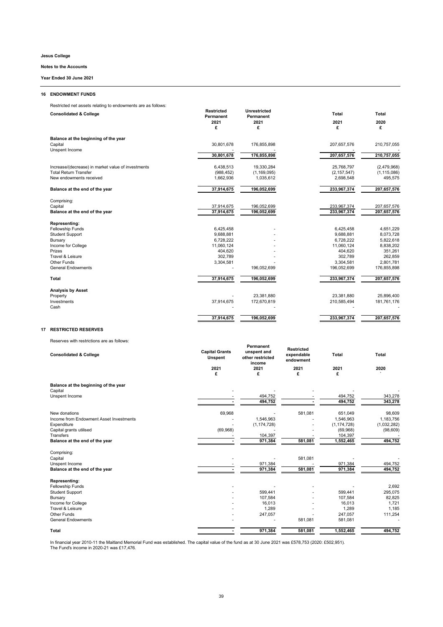## **16 ENDOWMENT FUNDS**

Restricted net assets relating to endowments are as follows:

| <b>Consolidated &amp; College</b>                  | <b>Restricted</b><br><b>Permanent</b> | <b>Unrestricted</b><br><b>Permanent</b> | <b>Total</b>  | <b>Total</b>  |
|----------------------------------------------------|---------------------------------------|-----------------------------------------|---------------|---------------|
|                                                    | 2021<br>£                             | 2021<br>£                               | 2021<br>£     | 2020<br>£     |
| Balance at the beginning of the year               |                                       |                                         |               |               |
| Capital<br>Unspent Income                          | 30,801,678                            | 176,855,898                             | 207,657,576   | 210,757,055   |
|                                                    | 30,801,678                            | 176,855,898                             | 207,657,576   | 210,757,055   |
| Increase/(decrease) in market value of investments | 6,438,513                             | 19,330,284                              | 25,768,797    | (2,479,968)   |
| <b>Total Return Transfer</b>                       | (988, 452)                            | (1, 169, 095)                           | (2, 157, 547) | (1, 115, 086) |
| New endowments received                            | 1,662,936                             | 1,035,612                               | 2,698,548     | 495,575       |
| Balance at the end of the year                     | 37,914,675                            | 196,052,699                             | 233,967,374   | 207,657,576   |
| Comprising:                                        |                                       |                                         |               |               |
| Capital                                            | 37,914,675                            | 196,052,699                             | 233,967,374   | 207,657,576   |
| Balance at the end of the year                     | 37,914,675                            | 196,052,699                             | 233,967,374   | 207,657,576   |
| <b>Representing:</b>                               |                                       |                                         |               |               |
| Fellowship Funds                                   | 6,425,458                             |                                         | 6,425,458     | 4,651,229     |
| <b>Student Support</b>                             | 9,688,881                             |                                         | 9,688,881     | 8,073,728     |
| <b>Bursary</b>                                     | 6,728,222                             |                                         | 6,728,222     | 5,822,618     |
| Income for College                                 | 11,060,124                            |                                         | 11,060,124    | 8,838,202     |
| Prizes                                             | 404,620                               |                                         | 404,620       | 351,261       |
| Travel & Leisure                                   | 302,789                               |                                         | 302,789       | 262,859       |
| <b>Other Funds</b>                                 | 3,304,581                             |                                         | 3,304,581     | 2,801,781     |
| <b>General Endowments</b>                          |                                       | 196,052,699                             | 196,052,699   | 176,855,898   |
| <b>Total</b>                                       | 37,914,675                            | 196,052,699                             | 233,967,374   | 207,657,576   |
| <b>Analysis by Asset</b>                           |                                       |                                         |               |               |
| Property                                           |                                       | 23,381,880                              | 23,381,880    | 25,896,400    |
| Investments                                        | 37,914,675                            | 172,670,819                             | 210,585,494   | 181,761,176   |
| Cash                                               |                                       |                                         |               |               |
|                                                    | 37,914,675                            | 196,052,699                             | 233,967,374   | 207,657,576   |

In financial year 2010-11 the Maitland Memorial Fund was established. The capital value of the fund as at 30 June 2021 was £578,753 (2020: £502,951). The Fund's income in 2020-21 was £17,476.

## **17 RESTRICTED RESERVES**

Reserves with restrictions are as follows:

| <b>Consolidated &amp; College</b> | <b>Permanent</b><br><b>Capital Grants</b><br>unspent and<br>other restricted<br><b>Unspent</b><br>income |      | <b>Restricted</b><br>expendable<br>endowment | <b>Total</b> | Total |
|-----------------------------------|----------------------------------------------------------------------------------------------------------|------|----------------------------------------------|--------------|-------|
|                                   | 2021                                                                                                     | 2021 | 2021                                         | 2021         | 2020  |
|                                   |                                                                                                          | ◠    | ~                                            | ◠            |       |
|                                   |                                                                                                          |      |                                              |              |       |

**Balance at the beginning of the year**

Capital - - - - -

| Unspent Income                          |           | 494,752       |         | 494,752       | 343,278     |
|-----------------------------------------|-----------|---------------|---------|---------------|-------------|
|                                         |           | 494,752       |         | 494,752       | 343,278     |
| New donations                           | 69,968    |               | 581,081 | 651,049       | 98,609      |
| Income from Endowment Asset Investments |           | 1,546,963     |         | 1,546,963     | 1,183,756   |
| Expenditure                             |           | (1, 174, 728) |         | (1, 174, 728) | (1,032,282) |
| Capital grants utilised                 | (69, 968) |               |         | (69, 968)     | (98, 609)   |
| Transfers                               |           | 104,397       |         | 104,397       |             |
| Balance at the end of the year          |           | 971,384       | 581,081 | 1,552,465     | 494,752     |
| Comprising:                             |           |               |         |               |             |
| Capital                                 |           |               | 581,081 |               |             |
| Unspent Income                          |           | 971,384       |         | 971,384       | 494,752     |
| Balance at the end of the year          |           | 971,384       | 581,081 | 971,384       | 494,752     |
|                                         |           |               |         |               |             |
| <b>Representing:</b>                    |           |               |         |               |             |
| Fellowship Funds                        |           |               |         |               | 2,692       |
| <b>Student Support</b>                  |           | 599,441       |         | 599,441       | 295,075     |
| <b>Bursary</b>                          |           | 107,584       |         | 107,584       | 82,825      |
| Income for College                      |           | 16,013        |         | 16,013        | 1,721       |
| Travel & Leisure                        |           | 1,289         |         | 1,289         | 1,185       |
| <b>Other Funds</b>                      |           | 247,057       |         | 247,057       | 111,254     |
| <b>General Endowments</b>               |           |               | 581,081 | 581,081       |             |
| <b>Total</b>                            |           | 971,384       | 581,081 | 1,552,465     | 494,752     |

**Jesus College**

**Notes to the Accounts**

**Year Ended 30 June 2021**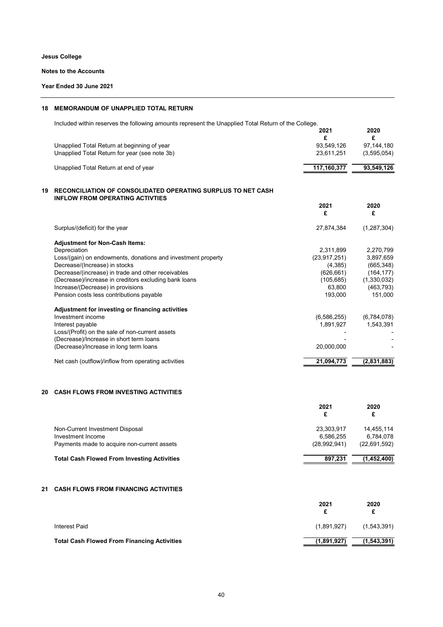**Notes to the Accounts**

**Year Ended 30 June 2021**

## **18 MEMORANDUM OF UNAPPLIED TOTAL RETURN**

Included within reserves the following amounts represent the Unapplied Total Return of the College.

|    |                                                                                                        | 2021<br>£      | 2020<br>£     |
|----|--------------------------------------------------------------------------------------------------------|----------------|---------------|
|    | Unapplied Total Return at beginning of year                                                            | 93,549,126     | 97,144,180    |
|    | Unapplied Total Return for year (see note 3b)                                                          | 23,611,251     | (3,595,054)   |
|    | Unapplied Total Return at end of year                                                                  | 117,160,377    | 93,549,126    |
| 19 | RECONCILIATION OF CONSOLIDATED OPERATING SURPLUS TO NET CASH<br><b>INFLOW FROM OPERATING ACTIVTIES</b> |                |               |
|    |                                                                                                        | 2021<br>£      | 2020<br>£     |
|    | Surplus/(deficit) for the year                                                                         | 27,874,384     | (1, 287, 304) |
|    | <b>Adjustment for Non-Cash Items:</b>                                                                  |                |               |
|    | Depreciation                                                                                           | 2,311,899      | 2,270,799     |
|    | Loss/(gain) on endowments, donations and investment property                                           | (23, 917, 251) | 3,897,659     |
|    | Decrease/(Increase) in stocks                                                                          | (4,385)        | (665, 348)    |
|    | Decrease/(increase) in trade and other receivables                                                     | (626, 661)     | (164, 177)    |
|    | (Decrease)/increase in creditors excluding bank loans                                                  | (105, 685)     | (1,330,032)   |
|    | Increase/(Decrease) in provisions                                                                      | 63,800         | (463, 793)    |
|    | Pension costs less contributions payable                                                               | 193,000        | 151,000       |
|    | Adjustment for investing or financing activities                                                       |                |               |
|    | Investment income                                                                                      | (6,586,255)    | (6,784,078)   |
|    | Interest payable                                                                                       | 1,891,927      | 1,543,391     |
|    | Loss/(Profit) on the sale of non-current assets                                                        |                |               |
|    | (Decrease)/Increase in short term loans                                                                |                |               |
|    | (Decrease)/Increase in long term loans                                                                 | 20,000,000     |               |
|    | Net cash (outflow)/inflow from operating activities                                                    | 21,094,773     | (2,831,883)   |
|    |                                                                                                        |                |               |

## **20 CASH FLOWS FROM INVESTING ACTIVITIES**

|                                                    | 2021         | 2020<br>£    |
|----------------------------------------------------|--------------|--------------|
| Non-Current Investment Disposal                    | 23,303,917   | 14.455.114   |
| Investment Income                                  | 6.586.255    | 6.784.078    |
| Payments made to acquire non-current assets        | (28,992,941) | (22,691,592) |
| <b>Total Cash Flowed From Investing Activities</b> | 897.231      | (1,452,400)  |

## **21 CASH FLOWS FROM FINANCING ACTIVITIES**

|                                                    | 2021        | 2020<br>£   |
|----------------------------------------------------|-------------|-------------|
| <b>Interest Paid</b>                               | (1,891,927) | (1,543,391) |
| <b>Total Cash Flowed From Financing Activities</b> | (1,891,927) | (1,543,391) |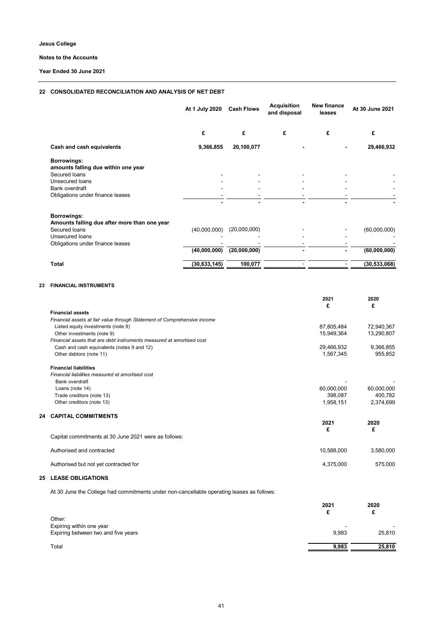**Notes to the Accounts**

**Year Ended 30 June 2021**

## **22 CONSOLIDATED RECONCILIATION AND ANALYSIS OF NET DEBT**

|    |                                                                          | At 1 July 2020 | <b>Cash Flows</b> | <b>Acquisition</b><br>and disposal | <b>New finance</b><br>leases | At 30 June 2021 |
|----|--------------------------------------------------------------------------|----------------|-------------------|------------------------------------|------------------------------|-----------------|
|    |                                                                          | £              | £                 | £                                  | £                            | £               |
|    | <b>Cash and cash equivalents</b>                                         | 9,366,855      | 20,100,077        |                                    |                              | 29,466,932      |
|    | <b>Borrowings:</b>                                                       |                |                   |                                    |                              |                 |
|    | amounts falling due within one year                                      |                |                   |                                    |                              |                 |
|    | Secured loans                                                            |                |                   |                                    |                              |                 |
|    | Unsecured loans<br><b>Bank overdraft</b>                                 |                |                   |                                    |                              |                 |
|    | Obligations under finance leases                                         |                |                   |                                    |                              |                 |
|    |                                                                          |                |                   |                                    |                              |                 |
|    | <b>Borrowings:</b>                                                       |                |                   |                                    |                              |                 |
|    | Amounts falling due after more than one year                             |                |                   |                                    |                              |                 |
|    | Secured loans                                                            | (40,000,000)   | (20,000,000)      |                                    |                              | (60,000,000)    |
|    | Unsecured loans                                                          |                |                   |                                    |                              |                 |
|    | Obligations under finance leases                                         |                |                   |                                    |                              |                 |
|    |                                                                          | (40,000,000)   | (20,000,000)      |                                    |                              | (60,000,000)    |
|    | <b>Total</b>                                                             | (30, 633, 145) | 100,077           |                                    | $\blacksquare$               | (30, 533, 068)  |
| 23 | <b>FINANCIAL INSTRUMENTS</b>                                             |                |                   |                                    |                              |                 |
|    |                                                                          |                |                   |                                    |                              |                 |
|    |                                                                          |                |                   |                                    | 2021                         | 2020            |
|    |                                                                          |                |                   |                                    | £                            | £               |
|    | <b>Financial assets</b>                                                  |                |                   |                                    |                              |                 |
|    | Financial assets at fair value through Statement of Comprehensive income |                |                   |                                    |                              |                 |
|    | Listed equity investments (note 9)                                       |                |                   |                                    | 87,805,484                   | 72,940,367      |
|    | Other investments (note 9)                                               |                |                   |                                    | 15,949,364                   | 13,290,807      |
|    | Financial assets that are debt instruments measured at amortised cost    |                |                   |                                    |                              |                 |
|    | Cash and cash equivalents (notes 9 and 12)                               |                |                   |                                    | 29,466,932                   | 9,366,855       |
|    | Other debtors (note 11)                                                  |                |                   |                                    | 1,567,345                    | 955,852         |
|    | <b>Financial liabilities</b>                                             |                |                   |                                    |                              |                 |
|    | Financial liabilities measured at amortised cost                         |                |                   |                                    |                              |                 |
|    | Bank overdraft                                                           |                |                   |                                    |                              |                 |
|    | Loans (note 14)                                                          |                |                   |                                    | 60,000,000                   | 60,000,000      |
|    | Trade creditors (note 13)                                                |                |                   |                                    | 398,087                      | 400,782         |
|    | Other creditors (note 13)                                                |                |                   |                                    | 1,958,151                    | 2,374,699       |
| 24 | <b>CAPITAL COMMITMENTS</b>                                               |                |                   |                                    | 2021                         | 2020            |
|    |                                                                          |                |                   |                                    | £                            | £               |
|    | Capital commitments at 30 June 2021 were as follows:                     |                |                   |                                    |                              |                 |
|    | Authorised and contracted                                                |                |                   |                                    | 10,588,000                   | 3,580,000       |
|    | Authorised but not yet contracted for                                    |                |                   |                                    | 4,375,000                    | 575,000         |

## **25 LEASE OBLIGATIONS**

At 30 June the College had commitments under non-cancellable operating leases as follows:

|                                     | 2021                     | 2020<br>£ |
|-------------------------------------|--------------------------|-----------|
| Other:<br>Expiring within one year  | $\overline{\phantom{a}}$ |           |
| Expiring between two and five years | 9,983                    | 25,810    |
| Total                               | 9,983                    | 25,810    |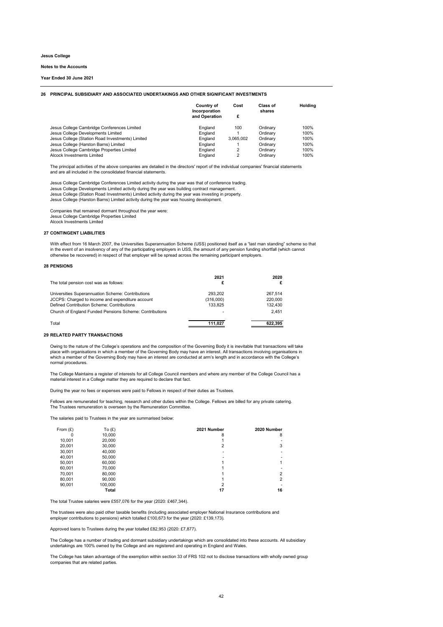#### **26 PRINCIPAL SUBSIDIARY AND ASSOCIATED UNDERTAKINGS AND OTHER SIGNIFICANT INVESTMENTS**

|                                                  | Country of<br>Incorporation<br>and Operation | Cost<br>£ | Class of<br>shares | <b>Holding</b> |
|--------------------------------------------------|----------------------------------------------|-----------|--------------------|----------------|
| Jesus College Cambridge Conferences Limited      | England                                      | 100       | Ordinarv           | 100%           |
| Jesus College Developments Limited               | England                                      |           | Ordinary           | 100%           |
| Jesus College (Station Road Investments) Limited | England                                      | 3,065,002 | Ordinary           | 100%           |
| Jesus College (Harston Barns) Limited            | England                                      |           | Ordinary           | 100%           |
| Jesus College Cambridge Properties Limited       | England                                      | 2         | Ordinarv           | 100%           |
| Alcock Investments Limited                       | England                                      | 2         | Ordinary           | 100%           |

The principal activities of the above companies are detailed in the directors' report of the individual companies' financial statements and are all included in the consolidated financial statements.

Jesus College Cambridge Conferences Limited activity during the year was that of conference trading. Jesus College Developments Limited activity during the year was building contract management. Jesus College (Station Road Investments) Limited activity during the year was investing in property. Jesus College (Harston Barns) Limited activity during the year was housing development.

Companies that remained dormant throughout the year were: Jesus College Cambridge Properties Limited Alcock Investments Limited

## **27 CONTINGENT LIABILITIES**

With effect from 16 March 2007, the Universities Superannuation Scheme (USS) positioned itself as a "last man standing" scheme so that in the event of an insolvency of any of the participating employers in USS, the amount of any pension funding shortfall (which cannot otherwise be recovered) in respect of that employer will be spread across the remaining participant employers.

#### **28 PENSIONS**

| The total pension cost was as follows:                         | 2021<br>£ | 2020    |
|----------------------------------------------------------------|-----------|---------|
| Universities Superannuation Scheme: Contributions              | 293.202   | 267.514 |
| JCCPS: Charged to income and expenditure account               | (316,000) | 220,000 |
| Defined Contribution Scheme: Contributions                     | 133,825   | 132,430 |
| <b>Church of England Funded Pensions Scheme: Contributions</b> |           | 2.451   |
| Total                                                          | 111.027   | 622.395 |

#### **29 RELATED PARTY TRANSACTIONS**

Owing to the nature of the College's operations and the composition of the Governing Body it is inevitable that transactions will take place with organisations in which a member of the Governing Body may have an interest. All transactions involving organisations in which a member of the Governing Body may have an interest are conducted at arm's length and in accordance with the College's normal procedures.

The College Maintains a register of interests for all College Council members and where any member of the College Council has a material interest in a College matter they are required to declare that fact.

During the year no fees or expenses were paid to Fellows in respect of their duties as Trustees.

Fellows are remunerated for teaching, research and other duties within the College. Fellows are billed for any private catering. The Trustees remuneration is overseen by the Remuneration Committee.

The salaries paid to Trustees in the year are summarised below:

| From $(E)$ | To $(E)$     | 2021 Number | 2020 Number |
|------------|--------------|-------------|-------------|
| 0          | 10,000       | 8           | 8           |
| 10,001     | 20,000       |             |             |
| 20,001     | 30,000       | 2           | 3           |
| 30,001     | 40,000       | -           |             |
| 40,001     | 50,000       |             |             |
| 50,001     | 60,000       |             |             |
| 60,001     | 70,000       |             |             |
| 70,001     | 80,000       |             | っ           |
| 80,001     | 90,000       |             | າ           |
| 90,001     | 100,000      | 2           |             |
|            | <b>Total</b> | 17          | 16          |

The total Trustee salaries were £557,076 for the year (2020: £467,344).

The trustees were also paid other taxable benefits (including associated employer National Insurance contributions and employer contributions to pensions) which totalled £100,673 for the year (2020: £139,173).

Approved loans to Trustees during the year totalled £82,953 (2020: £7,877).

The College has a number of trading and dormant subsidiary undertakings which are consolidated into these accounts. All subsidiary undertakings are 100% owned by the College and are registered and operating in England and Wales.

The College has taken advantage of the exemption within section 33 of FRS 102 not to disclose transactions with wholly owned group companies that are related parties.

**Jesus College**

#### **Notes to the Accounts**

#### **Year Ended 30 June 2021**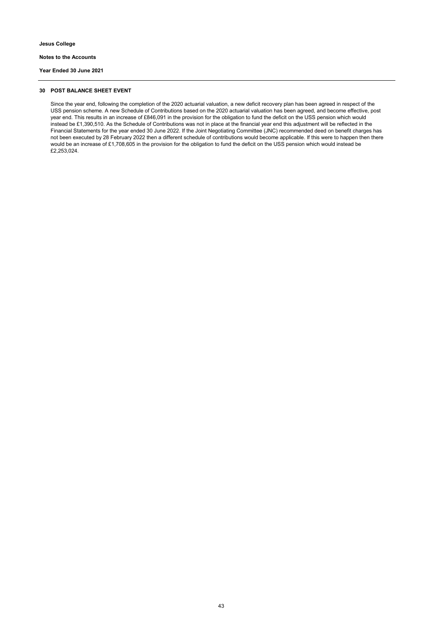#### **30 POST BALANCE SHEET EVENT**

Since the year end, following the completion of the 2020 actuarial valuation, a new deficit recovery plan has been agreed in respect of the USS pension scheme. A new Schedule of Contributions based on the 2020 actuarial valuation has been agreed, and become effective, post year end. This results in an increase of £846,091 in the provision for the obligation to fund the deficit on the USS pension which would instead be £1,390,510. As the Schedule of Contributions was not in place at the financial year end this adjustment will be reflected in the Financial Statements for the year ended 30 June 2022. If the Joint Negotiating Committee (JNC) recommended deed on benefit charges has not been executed by 28 February 2022 then a different schedule of contributions would become applicable. If this were to happen then there would be an increase of £1,708,605 in the provision for the obligation to fund the deficit on the USS pension which would instead be £2,253,024.

**Jesus College**

**Notes to the Accounts**

**Year Ended 30 June 2021**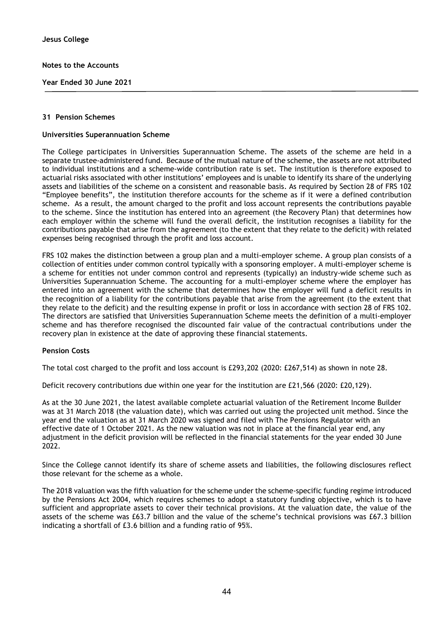**Year Ended 30 June 2021**

#### **31 Pension Schemes**

#### **Universities Superannuation Scheme**

The College participates in Universities Superannuation Scheme. The assets of the scheme are held in a separate trustee-administered fund. Because of the mutual nature of the scheme, the assets are not attributed to individual institutions and a scheme-wide contribution rate is set. The institution is therefore exposed to actuarial risks associated with other institutions' employees and is unable to identify its share of the underlying assets and liabilities of the scheme on a consistent and reasonable basis. As required by Section 28 of FRS 102 "Employee benefits", the institution therefore accounts for the scheme as if it were a defined contribution scheme. As a result, the amount charged to the profit and loss account represents the contributions payable to the scheme. Since the institution has entered into an agreement (the Recovery Plan) that determines how each employer within the scheme will fund the overall deficit, the institution recognises a liability for the contributions payable that arise from the agreement (to the extent that they relate to the deficit) with related expenses being recognised through the profit and loss account.

FRS 102 makes the distinction between a group plan and a multi-employer scheme. A group plan consists of a collection of entities under common control typically with a sponsoring employer. A multi-employer scheme is a scheme for entities not under common control and represents (typically) an industry-wide scheme such as Universities Superannuation Scheme. The accounting for a multi-employer scheme where the employer has entered into an agreement with the scheme that determines how the employer will fund a deficit results in the recognition of a liability for the contributions payable that arise from the agreement (to the extent that they relate to the deficit) and the resulting expense in profit or loss in accordance with section 28 of FRS 102. The directors are satisfied that Universities Superannuation Scheme meets the definition of a multi-employer scheme and has therefore recognised the discounted fair value of the contractual contributions under the recovery plan in existence at the date of approving these financial statements.

#### **Pension Costs**

The total cost charged to the profit and loss account is £293,202 (2020: £267,514) as shown in note 28.

Deficit recovery contributions due within one year for the institution are £21,566 (2020: £20,129).

As at the 30 June 2021, the latest available complete actuarial valuation of the Retirement Income Builder was at 31 March 2018 (the valuation date), which was carried out using the projected unit method. Since the year end the valuation as at 31 March 2020 was signed and filed with The Pensions Regulator with an effective date of 1 October 2021. As the new valuation was not in place at the financial year end, any adjustment in the deficit provision will be reflected in the financial statements for the year ended 30 June 2022

Since the College cannot identify its share of scheme assets and liabilities, the following disclosures reflect those relevant for the scheme as a whole.

The 2018 valuation was the fifth valuation for the scheme under the scheme-specific funding regime introduced by the Pensions Act 2004, which requires schemes to adopt a statutory funding objective, which is to have sufficient and appropriate assets to cover their technical provisions. At the valuation date, the value of the assets of the scheme was £63.7 billion and the value of the scheme's technical provisions was £67.3 billion indicating a shortfall of £3.6 billion and a funding ratio of 95%.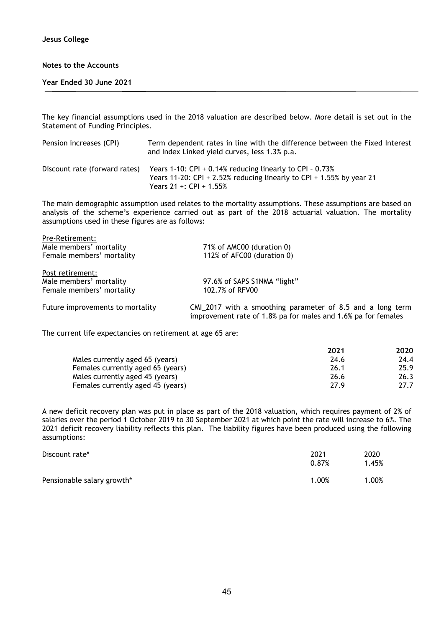#### **Year Ended 30 June 2021**

The key financial assumptions used in the 2018 valuation are described below. More detail is set out in the Statement of Funding Principles.

| Pension increases (CPI)       | Term dependent rates in line with the difference between the Fixed Interest<br>and Index Linked yield curves, less 1.3% p.a.                                   |
|-------------------------------|----------------------------------------------------------------------------------------------------------------------------------------------------------------|
| Discount rate (forward rates) | Years 1-10: CPI + 0.14% reducing linearly to CPI - $0.73\%$<br>Years 11-20: CPI + 2.52% reducing linearly to CPI + 1.55% by year 21<br>Years 21 +: CPI + 1.55% |

The main demographic assumption used relates to the mortality assumptions. These assumptions are based on analysis of the scheme's experience carried out as part of the 2018 actuarial valuation. The mortality assumptions used in these figures are as follows:

| Pre-Retirement:                  |                                                                                                                             |
|----------------------------------|-----------------------------------------------------------------------------------------------------------------------------|
| Male members' mortality          | 71% of AMC00 (duration 0)                                                                                                   |
| Female members' mortality        | 112% of AFC00 (duration 0)                                                                                                  |
| Post retirement:                 |                                                                                                                             |
| Male members' mortality          | 97.6% of SAPS S1NMA "light"                                                                                                 |
| Female members' mortality        | 102.7% of RFV00                                                                                                             |
| Future improvements to mortality | CMI_2017 with a smoothing parameter of 8.5 and a long term<br>improvement rate of 1.8% pa for males and 1.6% pa for females |

The current life expectancies on retirement at age 65 are:

|                                   | 2021 | 2020 |
|-----------------------------------|------|------|
| Males currently aged 65 (years)   | 24.6 | 24.4 |
| Females currently aged 65 (years) | 26.1 | 25.9 |
| Males currently aged 45 (years)   | 26.6 | 26.3 |
| Females currently aged 45 (years) | 27.9 | 27.7 |

A new deficit recovery plan was put in place as part of the 2018 valuation, which requires payment of 2% of salaries over the period 1 October 2019 to 30 September 2021 at which point the rate will increase to 6%. The 2021 deficit recovery liability reflects this plan. The liability figures have been produced using the following assumptions:

| Discount rate*             | 2021<br>0.87% | 2020<br>1.45% |
|----------------------------|---------------|---------------|
| Pensionable salary growth* | 1.00%         | 1.00%         |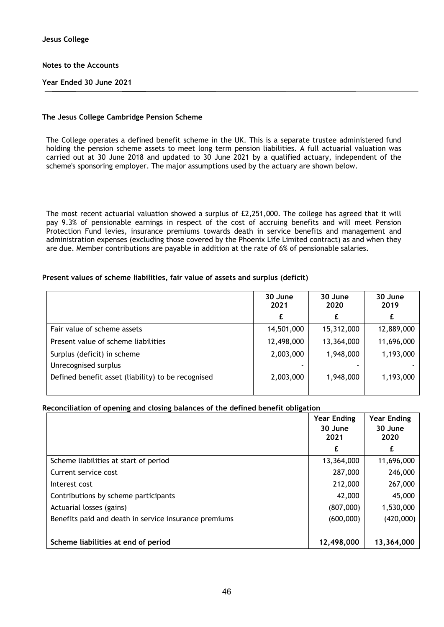### **Year Ended 30 June 2021**

#### **The Jesus College Cambridge Pension Scheme**

The College operates a defined benefit scheme in the UK. This is a separate trustee administered fund holding the pension scheme assets to meet long term pension liabilities. A full actuarial valuation was carried out at 30 June 2018 and updated to 30 June 2021 by a qualified actuary, independent of the scheme's sponsoring employer. The major assumptions used by the actuary are shown below.

The most recent actuarial valuation showed a surplus of £2,251,000. The college has agreed that it will pay 9.3% of pensionable earnings in respect of the cost of accruing benefits and will meet Pension Protection Fund levies, insurance premiums towards death in service benefits and management and administration expenses (excluding those covered by the Phoenix Life Limited contract) as and when they are due. Member contributions are payable in addition at the rate of 6% of pensionable salaries.

#### **Present values of scheme liabilities, fair value of assets and surplus (deficit)**

|                                                    | 30 June<br>2021 | 30 June<br>2020 | 30 June<br>2019 |
|----------------------------------------------------|-----------------|-----------------|-----------------|
|                                                    | £               | £               |                 |
| Fair value of scheme assets                        | 14,501,000      | 15,312,000      | 12,889,000      |
| Present value of scheme liabilities                | 12,498,000      | 13,364,000      | 11,696,000      |
| Surplus (deficit) in scheme                        | 2,003,000       | 1,948,000       | 1,193,000       |
| Unrecognised surplus                               |                 |                 |                 |
| Defined benefit asset (liability) to be recognised | 2,003,000       | 1,948,000       | 1,193,000       |
|                                                    |                 |                 |                 |

## **Reconciliation of opening and closing balances of the defined benefit obligation**

|                                                       | <b>Year Ending</b><br>30 June<br>2021 | <b>Year Ending</b><br>30 June<br>2020 |
|-------------------------------------------------------|---------------------------------------|---------------------------------------|
|                                                       | £                                     | £                                     |
| Scheme liabilities at start of period                 | 13,364,000                            | 11,696,000                            |
| Current service cost                                  | 287,000                               | 246,000                               |
| Interest cost                                         | 212,000                               | 267,000                               |
| Contributions by scheme participants                  | 42,000                                | 45,000                                |
| Actuarial losses (gains)                              | (807,000)                             | 1,530,000                             |
| Benefits paid and death in service insurance premiums | (600,000)                             | (420,000)                             |
|                                                       |                                       |                                       |
| Scheme liabilities at end of period                   | 12,498,000                            | 13,364,000                            |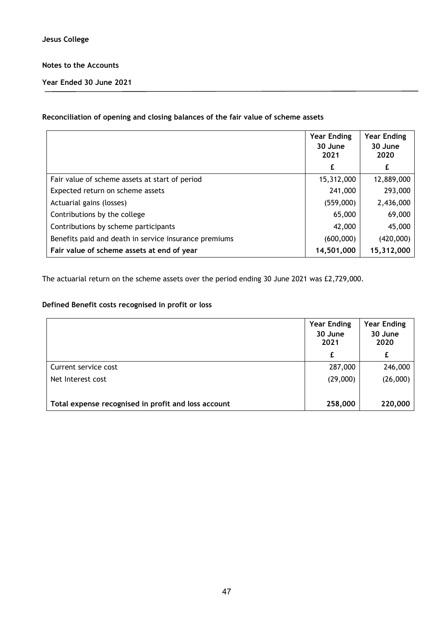**Year Ended 30 June 2021**

## **Reconciliation of opening and closing balances of the fair value of scheme assets**

|                                                       | <b>Year Ending</b><br>30 June<br>2021 | <b>Year Ending</b><br>30 June<br>2020 |
|-------------------------------------------------------|---------------------------------------|---------------------------------------|
|                                                       | £                                     | £                                     |
| Fair value of scheme assets at start of period        | 15,312,000                            | 12,889,000                            |
| Expected return on scheme assets                      | 241,000                               | 293,000                               |
| Actuarial gains (losses)                              | (559,000)                             | 2,436,000                             |
| Contributions by the college                          | 65,000                                | 69,000                                |
| Contributions by scheme participants                  | 42,000                                | 45,000                                |
| Benefits paid and death in service insurance premiums | (600,000)                             | (420,000)                             |
| Fair value of scheme assets at end of year            | 14,501,000                            | 15,312,000                            |

The actuarial return on the scheme assets over the period ending 30 June 2021 was £2,729,000.

## **Defined Benefit costs recognised in profit or loss**

|                                                     | <b>Year Ending</b><br>30 June<br>2021 | <b>Year Ending</b><br>30 June<br>2020 |
|-----------------------------------------------------|---------------------------------------|---------------------------------------|
|                                                     | £                                     | £                                     |
| Current service cost                                | 287,000                               | 246,000                               |
| Net Interest cost                                   | (29,000)                              | (26,000)                              |
| Total expense recognised in profit and loss account | 258,000                               | 220,000                               |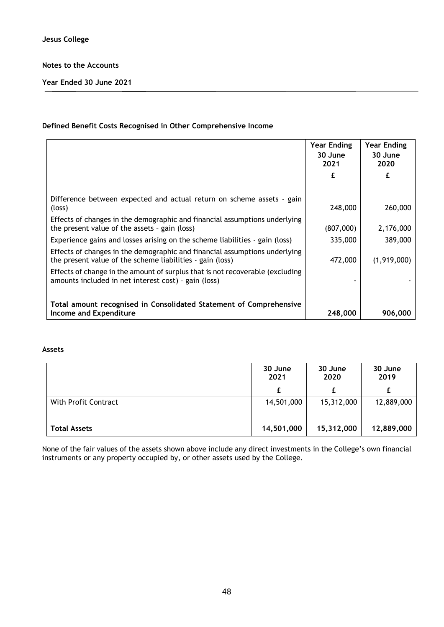**Year Ended 30 June 2021**

## **Defined Benefit Costs Recognised in Other Comprehensive Income**

|                                                                                                                                         | <b>Year Ending</b><br>30 June<br>2021 | <b>Year Ending</b><br>30 June<br>2020 |
|-----------------------------------------------------------------------------------------------------------------------------------------|---------------------------------------|---------------------------------------|
|                                                                                                                                         |                                       |                                       |
|                                                                                                                                         |                                       |                                       |
| Difference between expected and actual return on scheme assets - gain<br>(loss)                                                         | 248,000                               | 260,000                               |
| Effects of changes in the demographic and financial assumptions underlying<br>the present value of the assets - gain (loss)             | (807,000)                             | 2,176,000                             |
| Experience gains and losses arising on the scheme liabilities - gain (loss)                                                             | 335,000                               | 389,000                               |
| Effects of changes in the demographic and financial assumptions underlying<br>the present value of the scheme liabilities - gain (loss) | 472,000                               | (1,919,000)                           |
| Effects of change in the amount of surplus that is not recoverable (excluding<br>amounts included in net interest cost) - gain (loss)   |                                       |                                       |
|                                                                                                                                         |                                       |                                       |
| Total amount recognised in Consolidated Statement of Comprehensive<br>Income and Expenditure                                            | 248,000                               | 906,000                               |

## **Assets**

|                      | 30 June<br>2021 | 30 June<br>2020 | 30 June<br>2019 |
|----------------------|-----------------|-----------------|-----------------|
|                      | £               | £               |                 |
| With Profit Contract | 14,501,000      | 15,312,000      | 12,889,000      |
| <b>Total Assets</b>  | 14,501,000      | 15,312,000      | 12,889,000      |

None of the fair values of the assets shown above include any direct investments in the College's own financial instruments or any property occupied by, or other assets used by the College.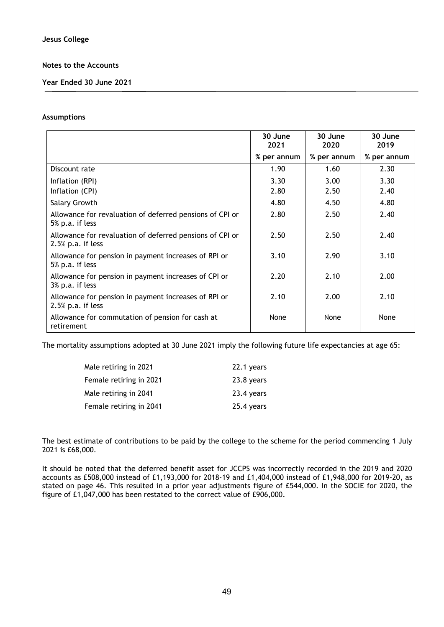**Year Ended 30 June 2021**

#### **Assumptions**

|                                                                                  | 30 June<br>2021 | 30 June<br>2020 | 30 June<br>2019 |
|----------------------------------------------------------------------------------|-----------------|-----------------|-----------------|
|                                                                                  | % per annum     | % per annum     | % per annum     |
| Discount rate                                                                    | 1.90            | 1.60            | 2.30            |
| Inflation (RPI)                                                                  | 3.30            | 3.00            | 3.30            |
| Inflation (CPI)                                                                  | 2.80            | 2.50            | 2.40            |
| Salary Growth                                                                    | 4.80            | 4.50            | 4.80            |
| Allowance for revaluation of deferred pensions of CPI or<br>5% p.a. if less      | 2.80            | 2.50            | 2.40            |
| Allowance for revaluation of deferred pensions of CPI or<br>$2.5\%$ p.a. if less | 2.50            | 2.50            | 2.40            |
| Allowance for pension in payment increases of RPI or<br>5% p.a. if less          | 3.10            | 2.90            | 3.10            |
| Allowance for pension in payment increases of CPI or<br>3% p.a. if less          | 2.20            | 2.10            | 2.00            |
| Allowance for pension in payment increases of RPI or<br>$2.5\%$ p.a. if less     | 2.10            | 2.00            | 2.10            |
| Allowance for commutation of pension for cash at<br>retirement                   | None            | None            | None            |

The mortality assumptions adopted at 30 June 2021 imply the following future life expectancies at age 65:

| Male retiring in 2021   | 22.1 years |
|-------------------------|------------|
| Female retiring in 2021 | 23.8 years |
| Male retiring in 2041   | 23.4 years |
| Female retiring in 2041 | 25.4 years |

The best estimate of contributions to be paid by the college to the scheme for the period commencing 1 July 2021 is £68,000.

It should be noted that the deferred benefit asset for JCCPS was incorrectly recorded in the 2019 and 2020 accounts as £508,000 instead of £1,193,000 for 2018-19 and £1,404,000 instead of £1,948,000 for 2019-20, as stated on page 46. This resulted in a prior year adjustments figure of £544,000. In the SOCIE for 2020, the figure of £1,047,000 has been restated to the correct value of £906,000.